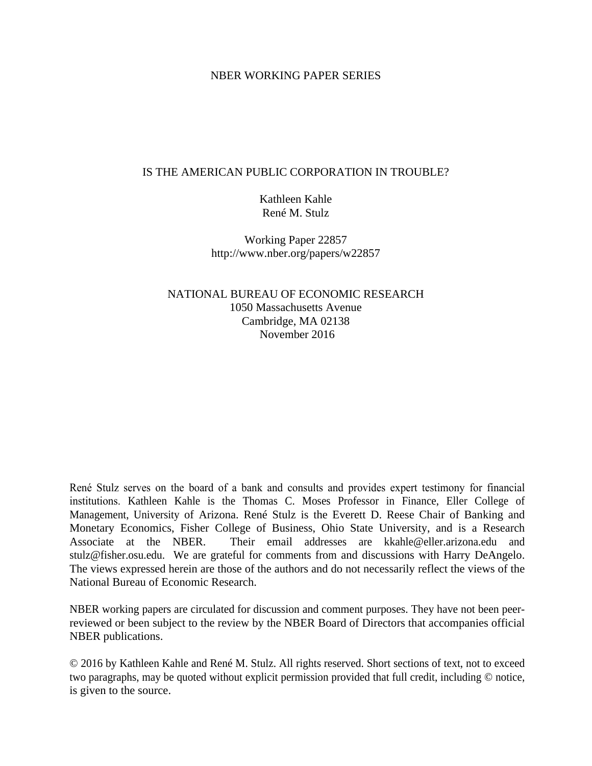## NBER WORKING PAPER SERIES

## IS THE AMERICAN PUBLIC CORPORATION IN TROUBLE?

Kathleen Kahle René M. Stulz

Working Paper 22857 http://www.nber.org/papers/w22857

NATIONAL BUREAU OF ECONOMIC RESEARCH 1050 Massachusetts Avenue Cambridge, MA 02138 November 2016

René Stulz serves on the board of a bank and consults and provides expert testimony for financial institutions. Kathleen Kahle is the Thomas C. Moses Professor in Finance, Eller College of Management, University of Arizona. René Stulz is the Everett D. Reese Chair of Banking and Monetary Economics, Fisher College of Business, Ohio State University, and is a Research Associate at the NBER. Their email addresses are kkahle@eller.arizona.edu and stulz@fisher.osu.edu. We are grateful for comments from and discussions with Harry DeAngelo. The views expressed herein are those of the authors and do not necessarily reflect the views of the National Bureau of Economic Research.

NBER working papers are circulated for discussion and comment purposes. They have not been peerreviewed or been subject to the review by the NBER Board of Directors that accompanies official NBER publications.

© 2016 by Kathleen Kahle and René M. Stulz. All rights reserved. Short sections of text, not to exceed two paragraphs, may be quoted without explicit permission provided that full credit, including © notice, is given to the source.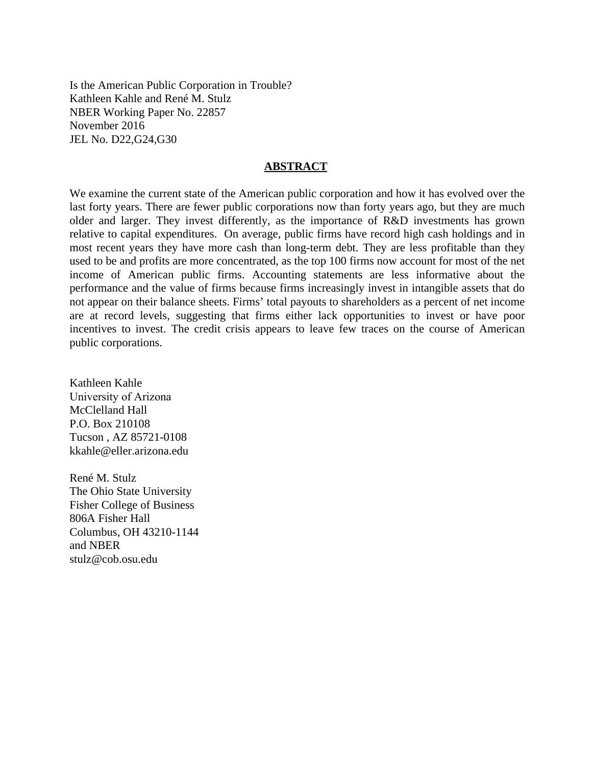Is the American Public Corporation in Trouble? Kathleen Kahle and René M. Stulz NBER Working Paper No. 22857 November 2016 JEL No. D22,G24,G30

## **ABSTRACT**

We examine the current state of the American public corporation and how it has evolved over the last forty years. There are fewer public corporations now than forty years ago, but they are much older and larger. They invest differently, as the importance of R&D investments has grown relative to capital expenditures. On average, public firms have record high cash holdings and in most recent years they have more cash than long-term debt. They are less profitable than they used to be and profits are more concentrated, as the top 100 firms now account for most of the net income of American public firms. Accounting statements are less informative about the performance and the value of firms because firms increasingly invest in intangible assets that do not appear on their balance sheets. Firms' total payouts to shareholders as a percent of net income are at record levels, suggesting that firms either lack opportunities to invest or have poor incentives to invest. The credit crisis appears to leave few traces on the course of American public corporations.

Kathleen Kahle University of Arizona McClelland Hall P.O. Box 210108 Tucson , AZ 85721-0108 kkahle@eller.arizona.edu

René M. Stulz The Ohio State University Fisher College of Business 806A Fisher Hall Columbus, OH 43210-1144 and NBER stulz@cob.osu.edu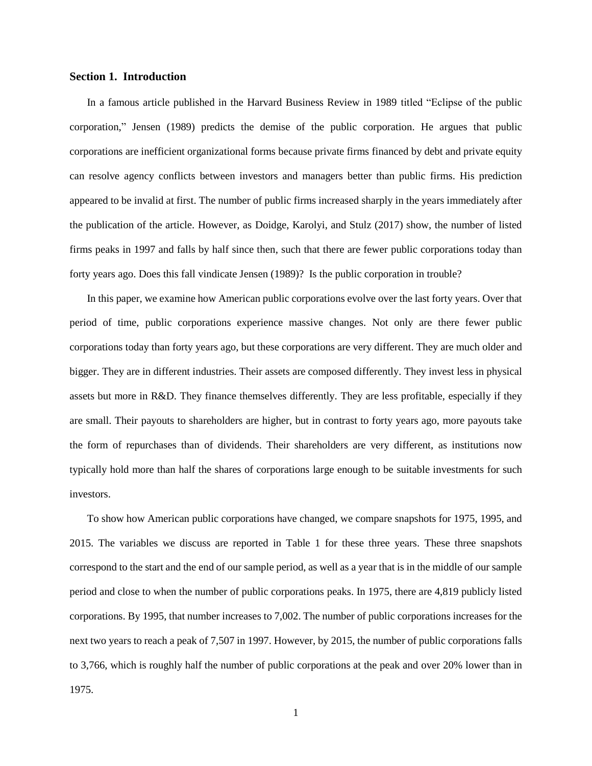## **Section 1. Introduction**

In a famous article published in the Harvard Business Review in 1989 titled "Eclipse of the public corporation," Jensen (1989) predicts the demise of the public corporation. He argues that public corporations are inefficient organizational forms because private firms financed by debt and private equity can resolve agency conflicts between investors and managers better than public firms. His prediction appeared to be invalid at first. The number of public firms increased sharply in the years immediately after the publication of the article. However, as Doidge, Karolyi, and Stulz (2017) show, the number of listed firms peaks in 1997 and falls by half since then, such that there are fewer public corporations today than forty years ago. Does this fall vindicate Jensen (1989)? Is the public corporation in trouble?

In this paper, we examine how American public corporations evolve over the last forty years. Over that period of time, public corporations experience massive changes. Not only are there fewer public corporations today than forty years ago, but these corporations are very different. They are much older and bigger. They are in different industries. Their assets are composed differently. They invest less in physical assets but more in R&D. They finance themselves differently. They are less profitable, especially if they are small. Their payouts to shareholders are higher, but in contrast to forty years ago, more payouts take the form of repurchases than of dividends. Their shareholders are very different, as institutions now typically hold more than half the shares of corporations large enough to be suitable investments for such investors.

To show how American public corporations have changed, we compare snapshots for 1975, 1995, and 2015. The variables we discuss are reported in Table 1 for these three years. These three snapshots correspond to the start and the end of our sample period, as well as a year that is in the middle of our sample period and close to when the number of public corporations peaks. In 1975, there are 4,819 publicly listed corporations. By 1995, that number increases to 7,002. The number of public corporations increases for the next two years to reach a peak of 7,507 in 1997. However, by 2015, the number of public corporations falls to 3,766, which is roughly half the number of public corporations at the peak and over 20% lower than in 1975.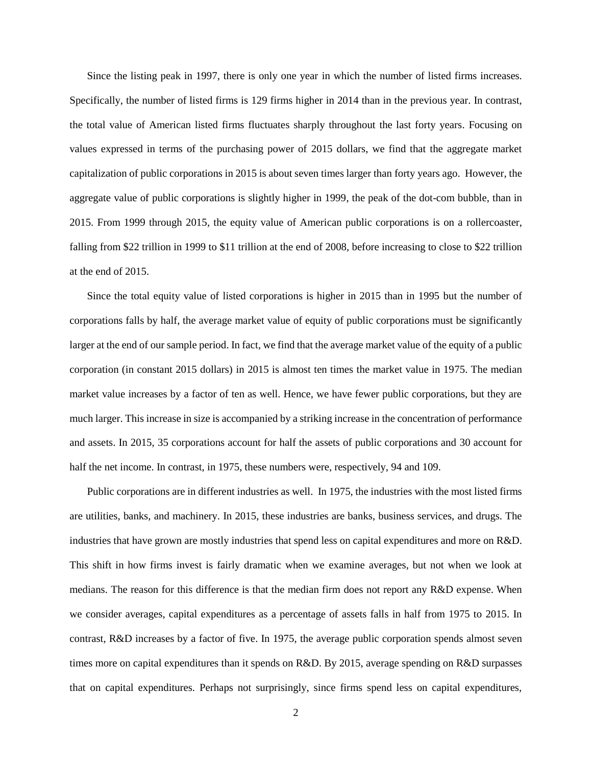Since the listing peak in 1997, there is only one year in which the number of listed firms increases. Specifically, the number of listed firms is 129 firms higher in 2014 than in the previous year. In contrast, the total value of American listed firms fluctuates sharply throughout the last forty years. Focusing on values expressed in terms of the purchasing power of 2015 dollars, we find that the aggregate market capitalization of public corporations in 2015 is about seven times larger than forty years ago. However, the aggregate value of public corporations is slightly higher in 1999, the peak of the dot-com bubble, than in 2015. From 1999 through 2015, the equity value of American public corporations is on a rollercoaster, falling from \$22 trillion in 1999 to \$11 trillion at the end of 2008, before increasing to close to \$22 trillion at the end of 2015.

Since the total equity value of listed corporations is higher in 2015 than in 1995 but the number of corporations falls by half, the average market value of equity of public corporations must be significantly larger at the end of our sample period. In fact, we find that the average market value of the equity of a public corporation (in constant 2015 dollars) in 2015 is almost ten times the market value in 1975. The median market value increases by a factor of ten as well. Hence, we have fewer public corporations, but they are much larger. This increase in size is accompanied by a striking increase in the concentration of performance and assets. In 2015, 35 corporations account for half the assets of public corporations and 30 account for half the net income. In contrast, in 1975, these numbers were, respectively, 94 and 109.

Public corporations are in different industries as well. In 1975, the industries with the most listed firms are utilities, banks, and machinery. In 2015, these industries are banks, business services, and drugs. The industries that have grown are mostly industries that spend less on capital expenditures and more on R&D. This shift in how firms invest is fairly dramatic when we examine averages, but not when we look at medians. The reason for this difference is that the median firm does not report any R&D expense. When we consider averages, capital expenditures as a percentage of assets falls in half from 1975 to 2015. In contrast, R&D increases by a factor of five. In 1975, the average public corporation spends almost seven times more on capital expenditures than it spends on R&D. By 2015, average spending on R&D surpasses that on capital expenditures. Perhaps not surprisingly, since firms spend less on capital expenditures,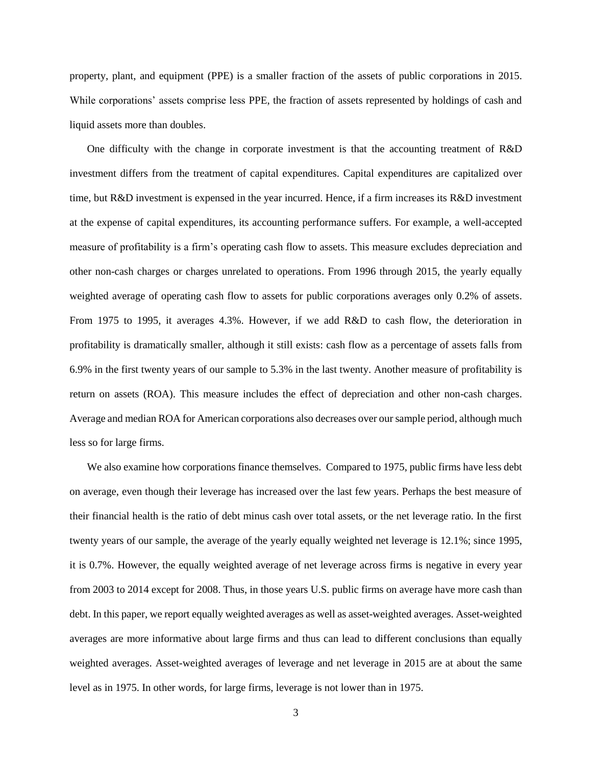property, plant, and equipment (PPE) is a smaller fraction of the assets of public corporations in 2015. While corporations' assets comprise less PPE, the fraction of assets represented by holdings of cash and liquid assets more than doubles.

One difficulty with the change in corporate investment is that the accounting treatment of R&D investment differs from the treatment of capital expenditures. Capital expenditures are capitalized over time, but R&D investment is expensed in the year incurred. Hence, if a firm increases its R&D investment at the expense of capital expenditures, its accounting performance suffers. For example, a well-accepted measure of profitability is a firm's operating cash flow to assets. This measure excludes depreciation and other non-cash charges or charges unrelated to operations. From 1996 through 2015, the yearly equally weighted average of operating cash flow to assets for public corporations averages only 0.2% of assets. From 1975 to 1995, it averages 4.3%. However, if we add R&D to cash flow, the deterioration in profitability is dramatically smaller, although it still exists: cash flow as a percentage of assets falls from 6.9% in the first twenty years of our sample to 5.3% in the last twenty. Another measure of profitability is return on assets (ROA). This measure includes the effect of depreciation and other non-cash charges. Average and median ROA for American corporations also decreases over our sample period, although much less so for large firms.

We also examine how corporations finance themselves. Compared to 1975, public firms have less debt on average, even though their leverage has increased over the last few years. Perhaps the best measure of their financial health is the ratio of debt minus cash over total assets, or the net leverage ratio. In the first twenty years of our sample, the average of the yearly equally weighted net leverage is 12.1%; since 1995, it is 0.7%. However, the equally weighted average of net leverage across firms is negative in every year from 2003 to 2014 except for 2008. Thus, in those years U.S. public firms on average have more cash than debt. In this paper, we report equally weighted averages as well as asset-weighted averages. Asset-weighted averages are more informative about large firms and thus can lead to different conclusions than equally weighted averages. Asset-weighted averages of leverage and net leverage in 2015 are at about the same level as in 1975. In other words, for large firms, leverage is not lower than in 1975.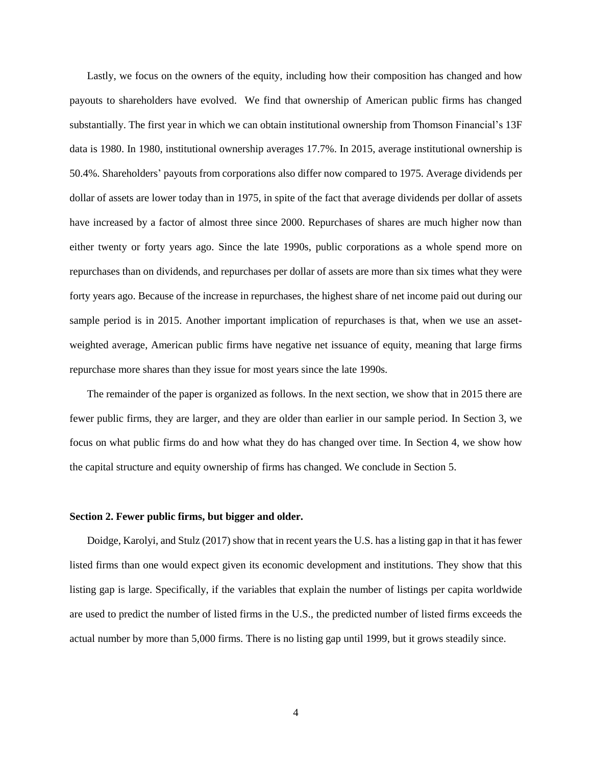Lastly, we focus on the owners of the equity, including how their composition has changed and how payouts to shareholders have evolved. We find that ownership of American public firms has changed substantially. The first year in which we can obtain institutional ownership from Thomson Financial's 13F data is 1980. In 1980, institutional ownership averages 17.7%. In 2015, average institutional ownership is 50.4%. Shareholders' payouts from corporations also differ now compared to 1975. Average dividends per dollar of assets are lower today than in 1975, in spite of the fact that average dividends per dollar of assets have increased by a factor of almost three since 2000. Repurchases of shares are much higher now than either twenty or forty years ago. Since the late 1990s, public corporations as a whole spend more on repurchases than on dividends, and repurchases per dollar of assets are more than six times what they were forty years ago. Because of the increase in repurchases, the highest share of net income paid out during our sample period is in 2015. Another important implication of repurchases is that, when we use an assetweighted average, American public firms have negative net issuance of equity, meaning that large firms repurchase more shares than they issue for most years since the late 1990s.

The remainder of the paper is organized as follows. In the next section, we show that in 2015 there are fewer public firms, they are larger, and they are older than earlier in our sample period. In Section 3, we focus on what public firms do and how what they do has changed over time. In Section 4, we show how the capital structure and equity ownership of firms has changed. We conclude in Section 5.

## **Section 2. Fewer public firms, but bigger and older.**

Doidge, Karolyi, and Stulz (2017) show that in recent years the U.S. has a listing gap in that it has fewer listed firms than one would expect given its economic development and institutions. They show that this listing gap is large. Specifically, if the variables that explain the number of listings per capita worldwide are used to predict the number of listed firms in the U.S., the predicted number of listed firms exceeds the actual number by more than 5,000 firms. There is no listing gap until 1999, but it grows steadily since.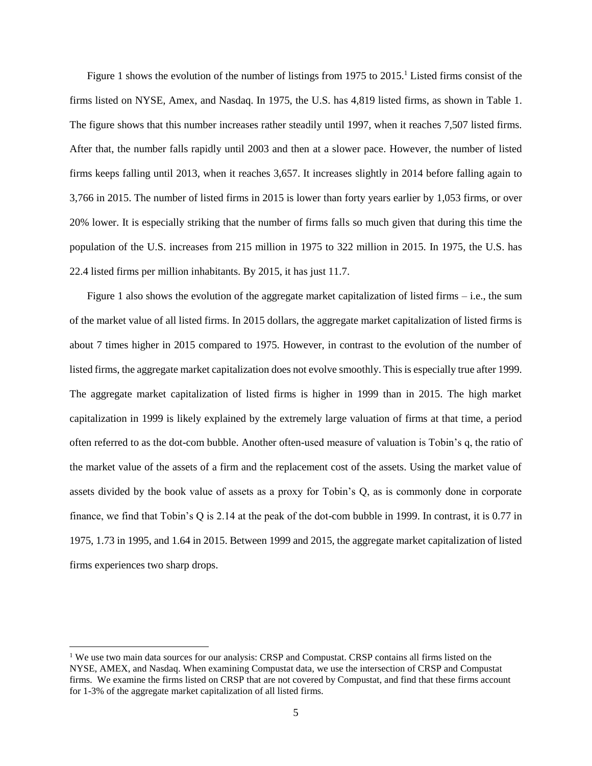Figure 1 shows the evolution of the number of listings from 1975 to 2015.<sup>1</sup> Listed firms consist of the firms listed on NYSE, Amex, and Nasdaq. In 1975, the U.S. has 4,819 listed firms, as shown in Table 1. The figure shows that this number increases rather steadily until 1997, when it reaches 7,507 listed firms. After that, the number falls rapidly until 2003 and then at a slower pace. However, the number of listed firms keeps falling until 2013, when it reaches 3,657. It increases slightly in 2014 before falling again to 3,766 in 2015. The number of listed firms in 2015 is lower than forty years earlier by 1,053 firms, or over 20% lower. It is especially striking that the number of firms falls so much given that during this time the population of the U.S. increases from 215 million in 1975 to 322 million in 2015. In 1975, the U.S. has 22.4 listed firms per million inhabitants. By 2015, it has just 11.7.

Figure 1 also shows the evolution of the aggregate market capitalization of listed firms  $-i.e.,$  the sum of the market value of all listed firms. In 2015 dollars, the aggregate market capitalization of listed firms is about 7 times higher in 2015 compared to 1975. However, in contrast to the evolution of the number of listed firms, the aggregate market capitalization does not evolve smoothly. This is especially true after 1999. The aggregate market capitalization of listed firms is higher in 1999 than in 2015. The high market capitalization in 1999 is likely explained by the extremely large valuation of firms at that time, a period often referred to as the dot-com bubble. Another often-used measure of valuation is Tobin's q, the ratio of the market value of the assets of a firm and the replacement cost of the assets. Using the market value of assets divided by the book value of assets as a proxy for Tobin's Q, as is commonly done in corporate finance, we find that Tobin's Q is 2.14 at the peak of the dot-com bubble in 1999. In contrast, it is 0.77 in 1975, 1.73 in 1995, and 1.64 in 2015. Between 1999 and 2015, the aggregate market capitalization of listed firms experiences two sharp drops.

 $\overline{a}$ 

<sup>&</sup>lt;sup>1</sup> We use two main data sources for our analysis: CRSP and Compustat. CRSP contains all firms listed on the NYSE, AMEX, and Nasdaq. When examining Compustat data, we use the intersection of CRSP and Compustat firms. We examine the firms listed on CRSP that are not covered by Compustat, and find that these firms account for 1-3% of the aggregate market capitalization of all listed firms.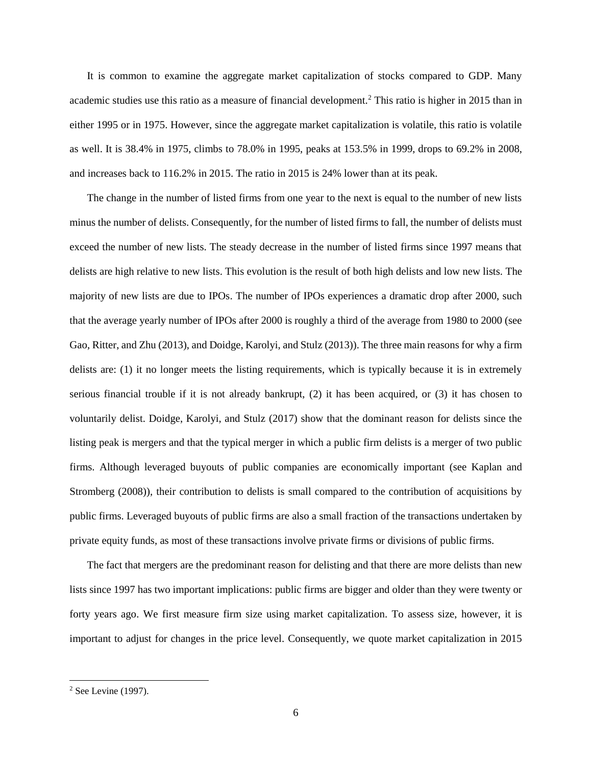It is common to examine the aggregate market capitalization of stocks compared to GDP. Many academic studies use this ratio as a measure of financial development.<sup>2</sup> This ratio is higher in 2015 than in either 1995 or in 1975. However, since the aggregate market capitalization is volatile, this ratio is volatile as well. It is 38.4% in 1975, climbs to 78.0% in 1995, peaks at 153.5% in 1999, drops to 69.2% in 2008, and increases back to 116.2% in 2015. The ratio in 2015 is 24% lower than at its peak.

The change in the number of listed firms from one year to the next is equal to the number of new lists minus the number of delists. Consequently, for the number of listed firms to fall, the number of delists must exceed the number of new lists. The steady decrease in the number of listed firms since 1997 means that delists are high relative to new lists. This evolution is the result of both high delists and low new lists. The majority of new lists are due to IPOs. The number of IPOs experiences a dramatic drop after 2000, such that the average yearly number of IPOs after 2000 is roughly a third of the average from 1980 to 2000 (see Gao, Ritter, and Zhu (2013), and Doidge, Karolyi, and Stulz (2013)). The three main reasons for why a firm delists are: (1) it no longer meets the listing requirements, which is typically because it is in extremely serious financial trouble if it is not already bankrupt, (2) it has been acquired, or (3) it has chosen to voluntarily delist. Doidge, Karolyi, and Stulz (2017) show that the dominant reason for delists since the listing peak is mergers and that the typical merger in which a public firm delists is a merger of two public firms. Although leveraged buyouts of public companies are economically important (see Kaplan and Stromberg (2008)), their contribution to delists is small compared to the contribution of acquisitions by public firms. Leveraged buyouts of public firms are also a small fraction of the transactions undertaken by private equity funds, as most of these transactions involve private firms or divisions of public firms.

The fact that mergers are the predominant reason for delisting and that there are more delists than new lists since 1997 has two important implications: public firms are bigger and older than they were twenty or forty years ago. We first measure firm size using market capitalization. To assess size, however, it is important to adjust for changes in the price level. Consequently, we quote market capitalization in 2015

l

 $2$  See Levine (1997).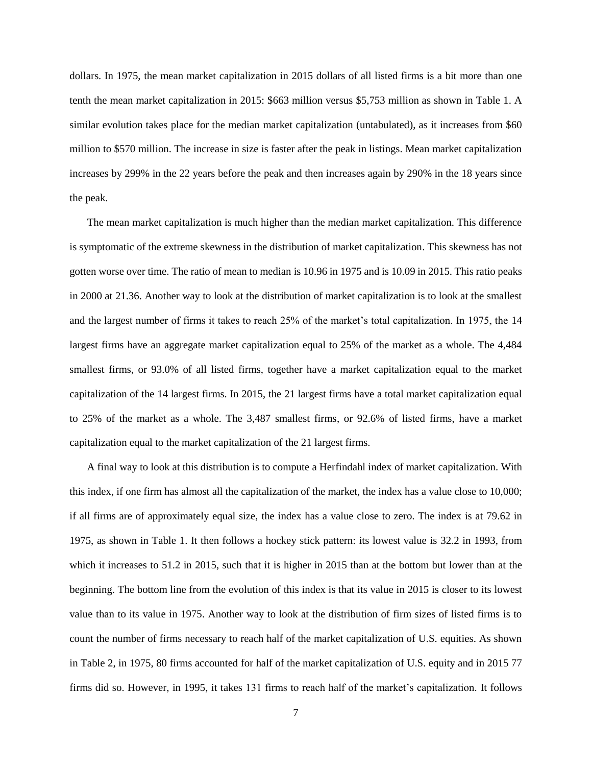dollars. In 1975, the mean market capitalization in 2015 dollars of all listed firms is a bit more than one tenth the mean market capitalization in 2015: \$663 million versus \$5,753 million as shown in Table 1. A similar evolution takes place for the median market capitalization (untabulated), as it increases from \$60 million to \$570 million. The increase in size is faster after the peak in listings. Mean market capitalization increases by 299% in the 22 years before the peak and then increases again by 290% in the 18 years since the peak.

The mean market capitalization is much higher than the median market capitalization. This difference is symptomatic of the extreme skewness in the distribution of market capitalization. This skewness has not gotten worse over time. The ratio of mean to median is 10.96 in 1975 and is 10.09 in 2015. This ratio peaks in 2000 at 21.36. Another way to look at the distribution of market capitalization is to look at the smallest and the largest number of firms it takes to reach 25% of the market's total capitalization. In 1975, the 14 largest firms have an aggregate market capitalization equal to 25% of the market as a whole. The 4,484 smallest firms, or 93.0% of all listed firms, together have a market capitalization equal to the market capitalization of the 14 largest firms. In 2015, the 21 largest firms have a total market capitalization equal to 25% of the market as a whole. The 3,487 smallest firms, or 92.6% of listed firms, have a market capitalization equal to the market capitalization of the 21 largest firms.

A final way to look at this distribution is to compute a Herfindahl index of market capitalization. With this index, if one firm has almost all the capitalization of the market, the index has a value close to 10,000; if all firms are of approximately equal size, the index has a value close to zero. The index is at 79.62 in 1975, as shown in Table 1. It then follows a hockey stick pattern: its lowest value is 32.2 in 1993, from which it increases to 51.2 in 2015, such that it is higher in 2015 than at the bottom but lower than at the beginning. The bottom line from the evolution of this index is that its value in 2015 is closer to its lowest value than to its value in 1975. Another way to look at the distribution of firm sizes of listed firms is to count the number of firms necessary to reach half of the market capitalization of U.S. equities. As shown in Table 2, in 1975, 80 firms accounted for half of the market capitalization of U.S. equity and in 2015 77 firms did so. However, in 1995, it takes 131 firms to reach half of the market's capitalization. It follows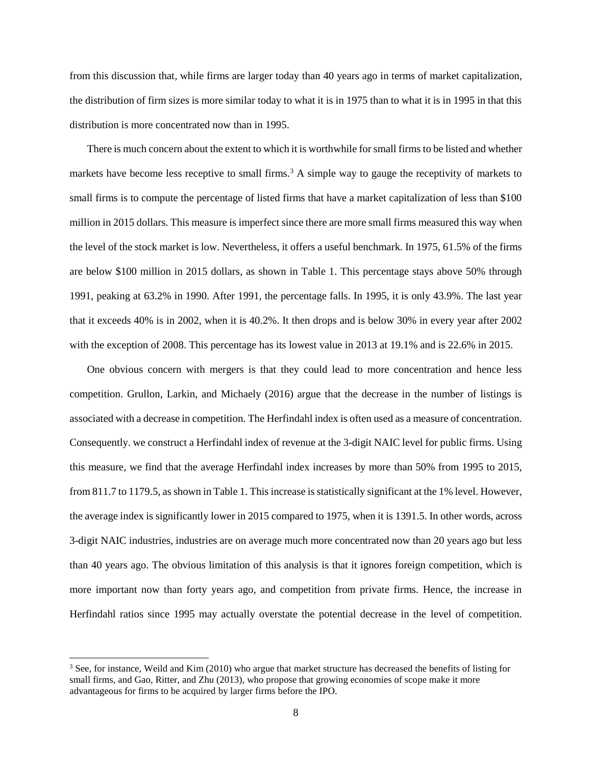from this discussion that, while firms are larger today than 40 years ago in terms of market capitalization, the distribution of firm sizes is more similar today to what it is in 1975 than to what it is in 1995 in that this distribution is more concentrated now than in 1995.

There is much concern about the extent to which it is worthwhile for small firms to be listed and whether markets have become less receptive to small firms.<sup>3</sup> A simple way to gauge the receptivity of markets to small firms is to compute the percentage of listed firms that have a market capitalization of less than \$100 million in 2015 dollars. This measure is imperfect since there are more small firms measured this way when the level of the stock market is low. Nevertheless, it offers a useful benchmark. In 1975, 61.5% of the firms are below \$100 million in 2015 dollars, as shown in Table 1. This percentage stays above 50% through 1991, peaking at 63.2% in 1990. After 1991, the percentage falls. In 1995, it is only 43.9%. The last year that it exceeds 40% is in 2002, when it is 40.2%. It then drops and is below 30% in every year after 2002 with the exception of 2008. This percentage has its lowest value in 2013 at 19.1% and is 22.6% in 2015.

One obvious concern with mergers is that they could lead to more concentration and hence less competition. Grullon, Larkin, and Michaely (2016) argue that the decrease in the number of listings is associated with a decrease in competition. The Herfindahl index is often used as a measure of concentration. Consequently. we construct a Herfindahl index of revenue at the 3-digit NAIC level for public firms. Using this measure, we find that the average Herfindahl index increases by more than 50% from 1995 to 2015, from 811.7 to 1179.5, as shown in Table 1. This increase is statistically significant at the 1% level. However, the average index is significantly lower in 2015 compared to 1975, when it is 1391.5. In other words, across 3-digit NAIC industries, industries are on average much more concentrated now than 20 years ago but less than 40 years ago. The obvious limitation of this analysis is that it ignores foreign competition, which is more important now than forty years ago, and competition from private firms. Hence, the increase in Herfindahl ratios since 1995 may actually overstate the potential decrease in the level of competition.

l

<sup>&</sup>lt;sup>3</sup> See, for instance, Weild and Kim (2010) who argue that market structure has decreased the benefits of listing for small firms, and Gao, Ritter, and Zhu (2013), who propose that growing economies of scope make it more advantageous for firms to be acquired by larger firms before the IPO.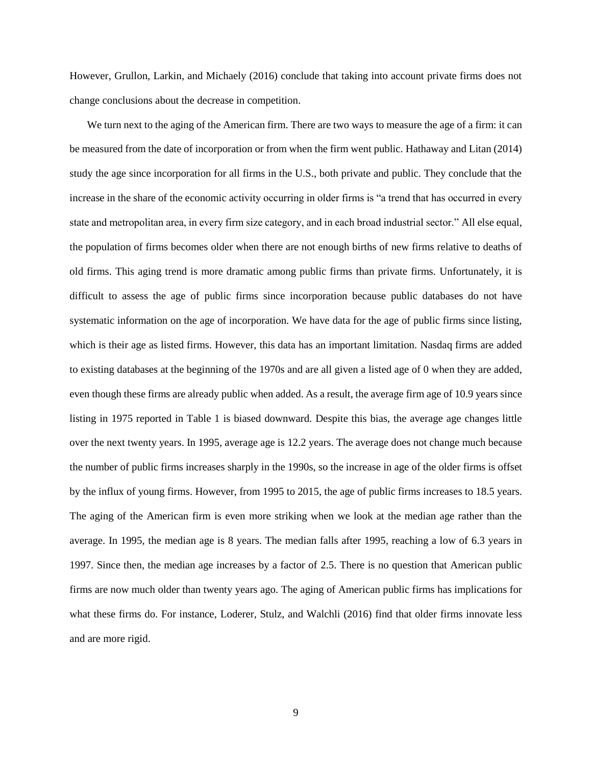However, Grullon, Larkin, and Michaely (2016) conclude that taking into account private firms does not change conclusions about the decrease in competition.

We turn next to the aging of the American firm. There are two ways to measure the age of a firm: it can be measured from the date of incorporation or from when the firm went public. Hathaway and Litan (2014) study the age since incorporation for all firms in the U.S., both private and public. They conclude that the increase in the share of the economic activity occurring in older firms is "a trend that has occurred in every state and metropolitan area, in every firm size category, and in each broad industrial sector." All else equal, the population of firms becomes older when there are not enough births of new firms relative to deaths of old firms. This aging trend is more dramatic among public firms than private firms. Unfortunately, it is difficult to assess the age of public firms since incorporation because public databases do not have systematic information on the age of incorporation. We have data for the age of public firms since listing, which is their age as listed firms. However, this data has an important limitation. Nasdaq firms are added to existing databases at the beginning of the 1970s and are all given a listed age of 0 when they are added, even though these firms are already public when added. As a result, the average firm age of 10.9 years since listing in 1975 reported in Table 1 is biased downward. Despite this bias, the average age changes little over the next twenty years. In 1995, average age is 12.2 years. The average does not change much because the number of public firms increases sharply in the 1990s, so the increase in age of the older firms is offset by the influx of young firms. However, from 1995 to 2015, the age of public firms increases to 18.5 years. The aging of the American firm is even more striking when we look at the median age rather than the average. In 1995, the median age is 8 years. The median falls after 1995, reaching a low of 6.3 years in 1997. Since then, the median age increases by a factor of 2.5. There is no question that American public firms are now much older than twenty years ago. The aging of American public firms has implications for what these firms do. For instance, Loderer, Stulz, and Walchli (2016) find that older firms innovate less and are more rigid.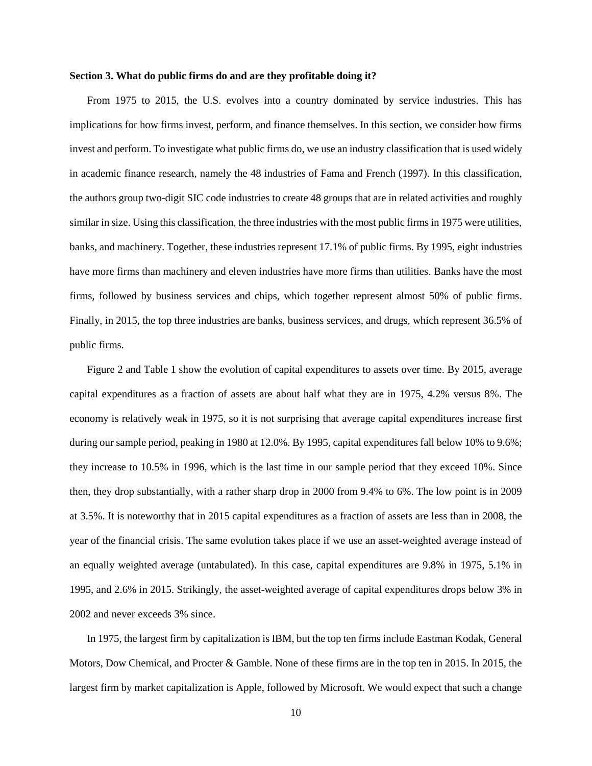#### **Section 3. What do public firms do and are they profitable doing it?**

From 1975 to 2015, the U.S. evolves into a country dominated by service industries. This has implications for how firms invest, perform, and finance themselves. In this section, we consider how firms invest and perform. To investigate what public firms do, we use an industry classification that is used widely in academic finance research, namely the 48 industries of Fama and French (1997). In this classification, the authors group two-digit SIC code industries to create 48 groups that are in related activities and roughly similar in size. Using this classification, the three industries with the most public firms in 1975 were utilities, banks, and machinery. Together, these industries represent 17.1% of public firms. By 1995, eight industries have more firms than machinery and eleven industries have more firms than utilities. Banks have the most firms, followed by business services and chips, which together represent almost 50% of public firms. Finally, in 2015, the top three industries are banks, business services, and drugs, which represent 36.5% of public firms.

Figure 2 and Table 1 show the evolution of capital expenditures to assets over time. By 2015, average capital expenditures as a fraction of assets are about half what they are in 1975, 4.2% versus 8%. The economy is relatively weak in 1975, so it is not surprising that average capital expenditures increase first during our sample period, peaking in 1980 at 12.0%. By 1995, capital expenditures fall below 10% to 9.6%; they increase to 10.5% in 1996, which is the last time in our sample period that they exceed 10%. Since then, they drop substantially, with a rather sharp drop in 2000 from 9.4% to 6%. The low point is in 2009 at 3.5%. It is noteworthy that in 2015 capital expenditures as a fraction of assets are less than in 2008, the year of the financial crisis. The same evolution takes place if we use an asset-weighted average instead of an equally weighted average (untabulated). In this case, capital expenditures are 9.8% in 1975, 5.1% in 1995, and 2.6% in 2015. Strikingly, the asset-weighted average of capital expenditures drops below 3% in 2002 and never exceeds 3% since.

In 1975, the largest firm by capitalization is IBM, but the top ten firms include Eastman Kodak, General Motors, Dow Chemical, and Procter & Gamble. None of these firms are in the top ten in 2015. In 2015, the largest firm by market capitalization is Apple, followed by Microsoft. We would expect that such a change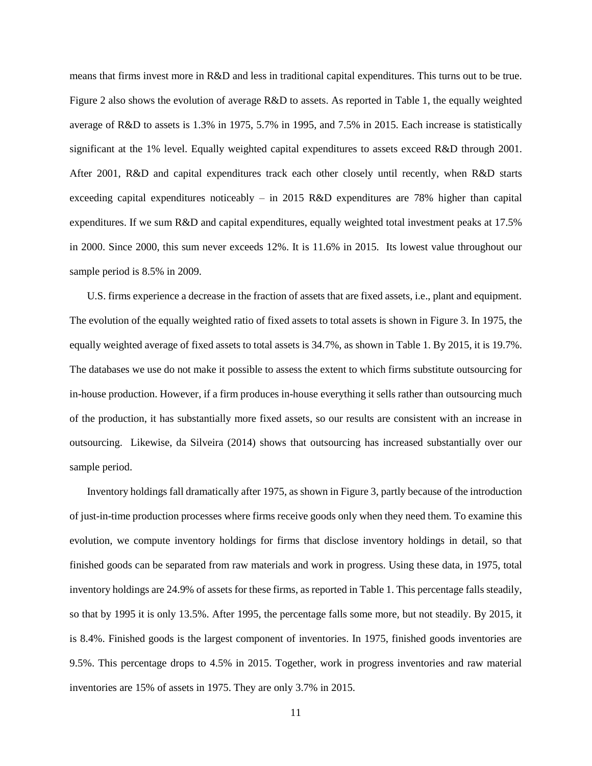means that firms invest more in R&D and less in traditional capital expenditures. This turns out to be true. Figure 2 also shows the evolution of average R&D to assets. As reported in Table 1, the equally weighted average of R&D to assets is 1.3% in 1975, 5.7% in 1995, and 7.5% in 2015. Each increase is statistically significant at the 1% level. Equally weighted capital expenditures to assets exceed R&D through 2001. After 2001, R&D and capital expenditures track each other closely until recently, when R&D starts exceeding capital expenditures noticeably – in 2015 R&D expenditures are 78% higher than capital expenditures. If we sum R&D and capital expenditures, equally weighted total investment peaks at 17.5% in 2000. Since 2000, this sum never exceeds 12%. It is 11.6% in 2015. Its lowest value throughout our sample period is 8.5% in 2009.

U.S. firms experience a decrease in the fraction of assets that are fixed assets, i.e., plant and equipment. The evolution of the equally weighted ratio of fixed assets to total assets is shown in Figure 3. In 1975, the equally weighted average of fixed assets to total assets is 34.7%, as shown in Table 1. By 2015, it is 19.7%. The databases we use do not make it possible to assess the extent to which firms substitute outsourcing for in-house production. However, if a firm produces in-house everything it sells rather than outsourcing much of the production, it has substantially more fixed assets, so our results are consistent with an increase in outsourcing. Likewise, da Silveira (2014) shows that outsourcing has increased substantially over our sample period.

Inventory holdings fall dramatically after 1975, as shown in Figure 3, partly because of the introduction of just-in-time production processes where firms receive goods only when they need them. To examine this evolution, we compute inventory holdings for firms that disclose inventory holdings in detail, so that finished goods can be separated from raw materials and work in progress. Using these data, in 1975, total inventory holdings are 24.9% of assets for these firms, as reported in Table 1. This percentage falls steadily, so that by 1995 it is only 13.5%. After 1995, the percentage falls some more, but not steadily. By 2015, it is 8.4%. Finished goods is the largest component of inventories. In 1975, finished goods inventories are 9.5%. This percentage drops to 4.5% in 2015. Together, work in progress inventories and raw material inventories are 15% of assets in 1975. They are only 3.7% in 2015.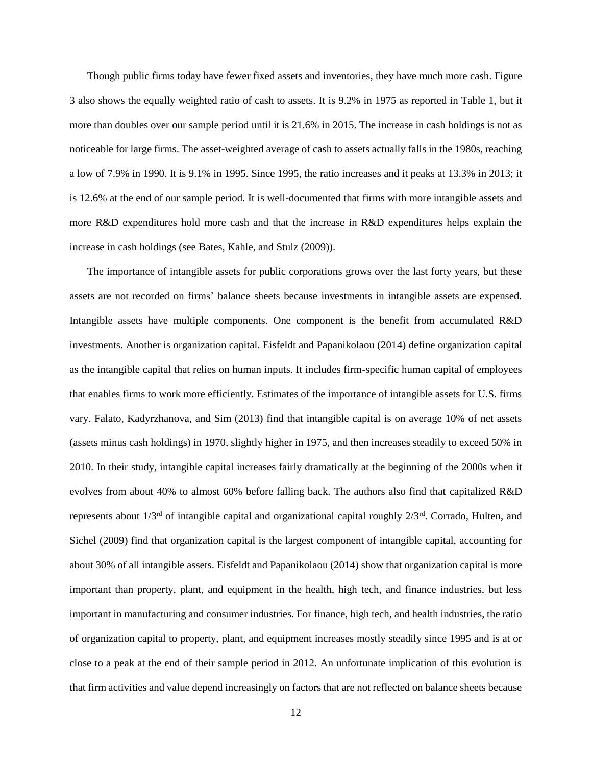Though public firms today have fewer fixed assets and inventories, they have much more cash. Figure 3 also shows the equally weighted ratio of cash to assets. It is 9.2% in 1975 as reported in Table 1, but it more than doubles over our sample period until it is 21.6% in 2015. The increase in cash holdings is not as noticeable for large firms. The asset-weighted average of cash to assets actually falls in the 1980s, reaching a low of 7.9% in 1990. It is 9.1% in 1995. Since 1995, the ratio increases and it peaks at 13.3% in 2013; it is 12.6% at the end of our sample period. It is well-documented that firms with more intangible assets and more R&D expenditures hold more cash and that the increase in R&D expenditures helps explain the increase in cash holdings (see Bates, Kahle, and Stulz (2009)).

The importance of intangible assets for public corporations grows over the last forty years, but these assets are not recorded on firms' balance sheets because investments in intangible assets are expensed. Intangible assets have multiple components. One component is the benefit from accumulated R&D investments. Another is organization capital. Eisfeldt and Papanikolaou (2014) define organization capital as the intangible capital that relies on human inputs. It includes firm-specific human capital of employees that enables firms to work more efficiently. Estimates of the importance of intangible assets for U.S. firms vary. Falato, Kadyrzhanova, and Sim (2013) find that intangible capital is on average 10% of net assets (assets minus cash holdings) in 1970, slightly higher in 1975, and then increases steadily to exceed 50% in 2010. In their study, intangible capital increases fairly dramatically at the beginning of the 2000s when it evolves from about 40% to almost 60% before falling back. The authors also find that capitalized R&D represents about 1/3rd of intangible capital and organizational capital roughly 2/3rd. Corrado, Hulten, and Sichel (2009) find that organization capital is the largest component of intangible capital, accounting for about 30% of all intangible assets. Eisfeldt and Papanikolaou (2014) show that organization capital is more important than property, plant, and equipment in the health, high tech, and finance industries, but less important in manufacturing and consumer industries. For finance, high tech, and health industries, the ratio of organization capital to property, plant, and equipment increases mostly steadily since 1995 and is at or close to a peak at the end of their sample period in 2012. An unfortunate implication of this evolution is that firm activities and value depend increasingly on factors that are not reflected on balance sheets because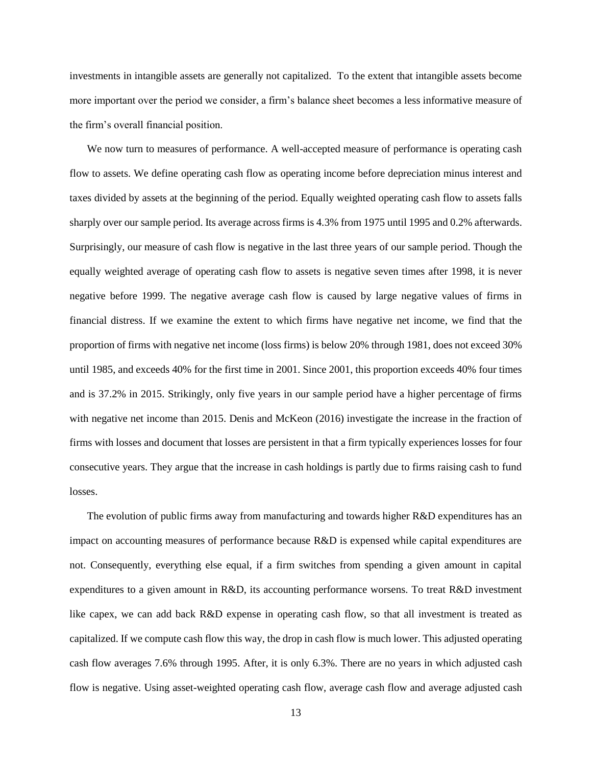investments in intangible assets are generally not capitalized. To the extent that intangible assets become more important over the period we consider, a firm's balance sheet becomes a less informative measure of the firm's overall financial position.

We now turn to measures of performance. A well-accepted measure of performance is operating cash flow to assets. We define operating cash flow as operating income before depreciation minus interest and taxes divided by assets at the beginning of the period. Equally weighted operating cash flow to assets falls sharply over our sample period. Its average across firms is 4.3% from 1975 until 1995 and 0.2% afterwards. Surprisingly, our measure of cash flow is negative in the last three years of our sample period. Though the equally weighted average of operating cash flow to assets is negative seven times after 1998, it is never negative before 1999. The negative average cash flow is caused by large negative values of firms in financial distress. If we examine the extent to which firms have negative net income, we find that the proportion of firms with negative net income (loss firms) is below 20% through 1981, does not exceed 30% until 1985, and exceeds 40% for the first time in 2001. Since 2001, this proportion exceeds 40% four times and is 37.2% in 2015. Strikingly, only five years in our sample period have a higher percentage of firms with negative net income than 2015. Denis and McKeon (2016) investigate the increase in the fraction of firms with losses and document that losses are persistent in that a firm typically experiences losses for four consecutive years. They argue that the increase in cash holdings is partly due to firms raising cash to fund losses.

The evolution of public firms away from manufacturing and towards higher R&D expenditures has an impact on accounting measures of performance because R&D is expensed while capital expenditures are not. Consequently, everything else equal, if a firm switches from spending a given amount in capital expenditures to a given amount in R&D, its accounting performance worsens. To treat R&D investment like capex, we can add back R&D expense in operating cash flow, so that all investment is treated as capitalized. If we compute cash flow this way, the drop in cash flow is much lower. This adjusted operating cash flow averages 7.6% through 1995. After, it is only 6.3%. There are no years in which adjusted cash flow is negative. Using asset-weighted operating cash flow, average cash flow and average adjusted cash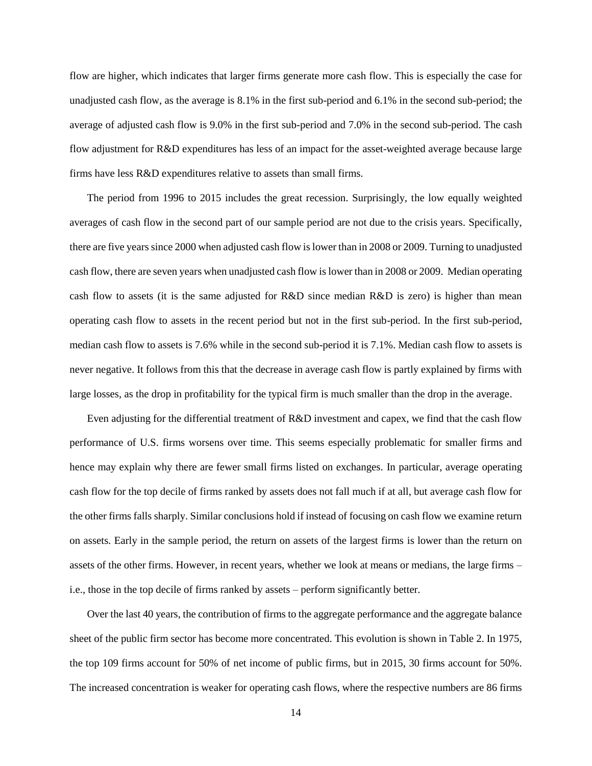flow are higher, which indicates that larger firms generate more cash flow. This is especially the case for unadjusted cash flow, as the average is 8.1% in the first sub-period and 6.1% in the second sub-period; the average of adjusted cash flow is 9.0% in the first sub-period and 7.0% in the second sub-period. The cash flow adjustment for R&D expenditures has less of an impact for the asset-weighted average because large firms have less R&D expenditures relative to assets than small firms.

The period from 1996 to 2015 includes the great recession. Surprisingly, the low equally weighted averages of cash flow in the second part of our sample period are not due to the crisis years. Specifically, there are five years since 2000 when adjusted cash flow is lower than in 2008 or 2009. Turning to unadjusted cash flow, there are seven years when unadjusted cash flow is lower than in 2008 or 2009. Median operating cash flow to assets (it is the same adjusted for R&D since median R&D is zero) is higher than mean operating cash flow to assets in the recent period but not in the first sub-period. In the first sub-period, median cash flow to assets is 7.6% while in the second sub-period it is 7.1%. Median cash flow to assets is never negative. It follows from this that the decrease in average cash flow is partly explained by firms with large losses, as the drop in profitability for the typical firm is much smaller than the drop in the average.

Even adjusting for the differential treatment of R&D investment and capex, we find that the cash flow performance of U.S. firms worsens over time. This seems especially problematic for smaller firms and hence may explain why there are fewer small firms listed on exchanges. In particular, average operating cash flow for the top decile of firms ranked by assets does not fall much if at all, but average cash flow for the other firms falls sharply. Similar conclusions hold if instead of focusing on cash flow we examine return on assets. Early in the sample period, the return on assets of the largest firms is lower than the return on assets of the other firms. However, in recent years, whether we look at means or medians, the large firms – i.e., those in the top decile of firms ranked by assets – perform significantly better.

Over the last 40 years, the contribution of firms to the aggregate performance and the aggregate balance sheet of the public firm sector has become more concentrated. This evolution is shown in Table 2. In 1975, the top 109 firms account for 50% of net income of public firms, but in 2015, 30 firms account for 50%. The increased concentration is weaker for operating cash flows, where the respective numbers are 86 firms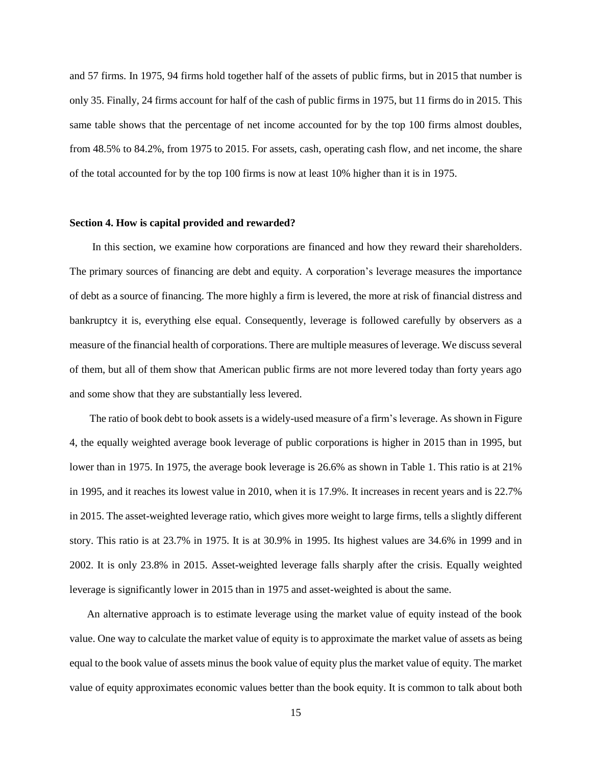and 57 firms. In 1975, 94 firms hold together half of the assets of public firms, but in 2015 that number is only 35. Finally, 24 firms account for half of the cash of public firms in 1975, but 11 firms do in 2015. This same table shows that the percentage of net income accounted for by the top 100 firms almost doubles, from 48.5% to 84.2%, from 1975 to 2015. For assets, cash, operating cash flow, and net income, the share of the total accounted for by the top 100 firms is now at least 10% higher than it is in 1975.

#### **Section 4. How is capital provided and rewarded?**

 In this section, we examine how corporations are financed and how they reward their shareholders. The primary sources of financing are debt and equity. A corporation's leverage measures the importance of debt as a source of financing. The more highly a firm is levered, the more at risk of financial distress and bankruptcy it is, everything else equal. Consequently, leverage is followed carefully by observers as a measure of the financial health of corporations. There are multiple measures of leverage. We discuss several of them, but all of them show that American public firms are not more levered today than forty years ago and some show that they are substantially less levered.

The ratio of book debt to book assets is a widely-used measure of a firm's leverage. As shown in Figure 4, the equally weighted average book leverage of public corporations is higher in 2015 than in 1995, but lower than in 1975. In 1975, the average book leverage is 26.6% as shown in Table 1. This ratio is at 21% in 1995, and it reaches its lowest value in 2010, when it is 17.9%. It increases in recent years and is 22.7% in 2015. The asset-weighted leverage ratio, which gives more weight to large firms, tells a slightly different story. This ratio is at 23.7% in 1975. It is at 30.9% in 1995. Its highest values are 34.6% in 1999 and in 2002. It is only 23.8% in 2015. Asset-weighted leverage falls sharply after the crisis. Equally weighted leverage is significantly lower in 2015 than in 1975 and asset-weighted is about the same.

An alternative approach is to estimate leverage using the market value of equity instead of the book value. One way to calculate the market value of equity is to approximate the market value of assets as being equal to the book value of assets minus the book value of equity plus the market value of equity. The market value of equity approximates economic values better than the book equity. It is common to talk about both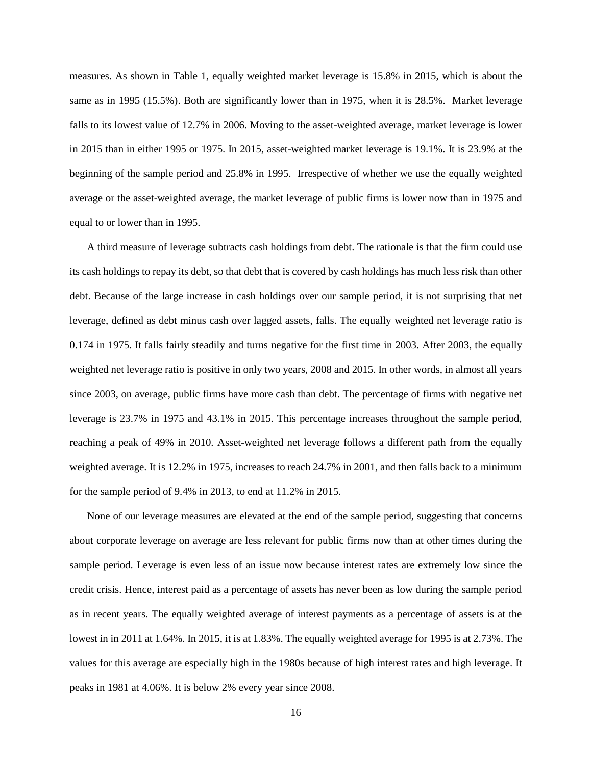measures. As shown in Table 1, equally weighted market leverage is 15.8% in 2015, which is about the same as in 1995 (15.5%). Both are significantly lower than in 1975, when it is 28.5%. Market leverage falls to its lowest value of 12.7% in 2006. Moving to the asset-weighted average, market leverage is lower in 2015 than in either 1995 or 1975. In 2015, asset-weighted market leverage is 19.1%. It is 23.9% at the beginning of the sample period and 25.8% in 1995. Irrespective of whether we use the equally weighted average or the asset-weighted average, the market leverage of public firms is lower now than in 1975 and equal to or lower than in 1995.

A third measure of leverage subtracts cash holdings from debt. The rationale is that the firm could use its cash holdings to repay its debt, so that debt that is covered by cash holdings has much less risk than other debt. Because of the large increase in cash holdings over our sample period, it is not surprising that net leverage, defined as debt minus cash over lagged assets, falls. The equally weighted net leverage ratio is 0.174 in 1975. It falls fairly steadily and turns negative for the first time in 2003. After 2003, the equally weighted net leverage ratio is positive in only two years, 2008 and 2015. In other words, in almost all years since 2003, on average, public firms have more cash than debt. The percentage of firms with negative net leverage is 23.7% in 1975 and 43.1% in 2015. This percentage increases throughout the sample period, reaching a peak of 49% in 2010. Asset-weighted net leverage follows a different path from the equally weighted average. It is 12.2% in 1975, increases to reach 24.7% in 2001, and then falls back to a minimum for the sample period of 9.4% in 2013, to end at 11.2% in 2015.

None of our leverage measures are elevated at the end of the sample period, suggesting that concerns about corporate leverage on average are less relevant for public firms now than at other times during the sample period. Leverage is even less of an issue now because interest rates are extremely low since the credit crisis. Hence, interest paid as a percentage of assets has never been as low during the sample period as in recent years. The equally weighted average of interest payments as a percentage of assets is at the lowest in in 2011 at 1.64%. In 2015, it is at 1.83%. The equally weighted average for 1995 is at 2.73%. The values for this average are especially high in the 1980s because of high interest rates and high leverage. It peaks in 1981 at 4.06%. It is below 2% every year since 2008.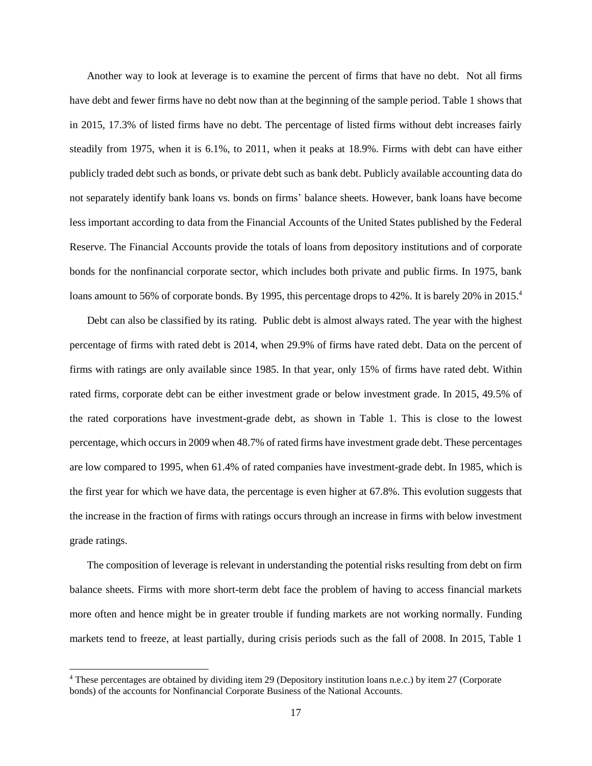Another way to look at leverage is to examine the percent of firms that have no debt. Not all firms have debt and fewer firms have no debt now than at the beginning of the sample period. Table 1 shows that in 2015, 17.3% of listed firms have no debt. The percentage of listed firms without debt increases fairly steadily from 1975, when it is 6.1%, to 2011, when it peaks at 18.9%. Firms with debt can have either publicly traded debt such as bonds, or private debt such as bank debt. Publicly available accounting data do not separately identify bank loans vs. bonds on firms' balance sheets. However, bank loans have become less important according to data from the Financial Accounts of the United States published by the Federal Reserve. The Financial Accounts provide the totals of loans from depository institutions and of corporate bonds for the nonfinancial corporate sector, which includes both private and public firms. In 1975, bank loans amount to 56% of corporate bonds. By 1995, this percentage drops to 42%. It is barely 20% in 2015.<sup>4</sup>

Debt can also be classified by its rating. Public debt is almost always rated. The year with the highest percentage of firms with rated debt is 2014, when 29.9% of firms have rated debt. Data on the percent of firms with ratings are only available since 1985. In that year, only 15% of firms have rated debt. Within rated firms, corporate debt can be either investment grade or below investment grade. In 2015, 49.5% of the rated corporations have investment-grade debt, as shown in Table 1. This is close to the lowest percentage, which occurs in 2009 when 48.7% of rated firms have investment grade debt. These percentages are low compared to 1995, when 61.4% of rated companies have investment-grade debt. In 1985, which is the first year for which we have data, the percentage is even higher at 67.8%. This evolution suggests that the increase in the fraction of firms with ratings occurs through an increase in firms with below investment grade ratings.

The composition of leverage is relevant in understanding the potential risks resulting from debt on firm balance sheets. Firms with more short-term debt face the problem of having to access financial markets more often and hence might be in greater trouble if funding markets are not working normally. Funding markets tend to freeze, at least partially, during crisis periods such as the fall of 2008. In 2015, Table 1

l

<sup>4</sup> These percentages are obtained by dividing item 29 (Depository institution loans n.e.c.) by item 27 (Corporate bonds) of the accounts for Nonfinancial Corporate Business of the National Accounts.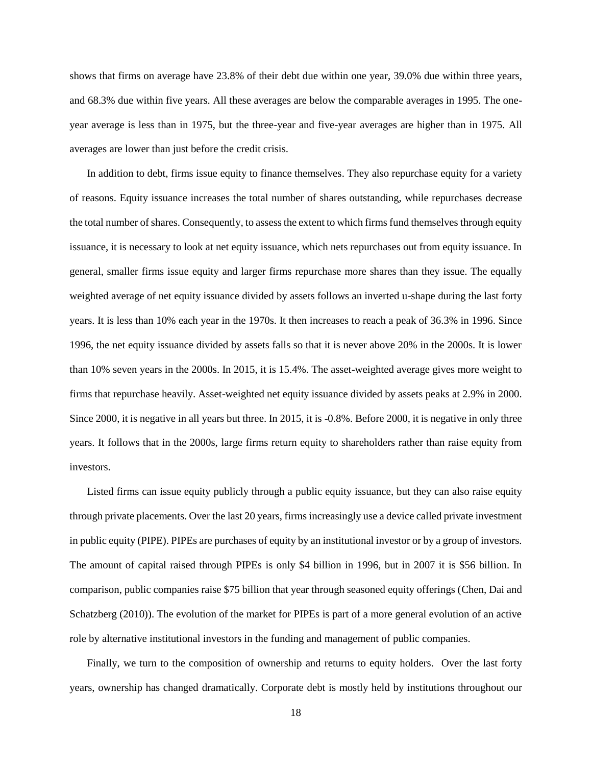shows that firms on average have 23.8% of their debt due within one year, 39.0% due within three years, and 68.3% due within five years. All these averages are below the comparable averages in 1995. The oneyear average is less than in 1975, but the three-year and five-year averages are higher than in 1975. All averages are lower than just before the credit crisis.

In addition to debt, firms issue equity to finance themselves. They also repurchase equity for a variety of reasons. Equity issuance increases the total number of shares outstanding, while repurchases decrease the total number of shares. Consequently, to assess the extent to which firms fund themselves through equity issuance, it is necessary to look at net equity issuance, which nets repurchases out from equity issuance. In general, smaller firms issue equity and larger firms repurchase more shares than they issue. The equally weighted average of net equity issuance divided by assets follows an inverted u-shape during the last forty years. It is less than 10% each year in the 1970s. It then increases to reach a peak of 36.3% in 1996. Since 1996, the net equity issuance divided by assets falls so that it is never above 20% in the 2000s. It is lower than 10% seven years in the 2000s. In 2015, it is 15.4%. The asset-weighted average gives more weight to firms that repurchase heavily. Asset-weighted net equity issuance divided by assets peaks at 2.9% in 2000. Since 2000, it is negative in all years but three. In 2015, it is -0.8%. Before 2000, it is negative in only three years. It follows that in the 2000s, large firms return equity to shareholders rather than raise equity from investors.

Listed firms can issue equity publicly through a public equity issuance, but they can also raise equity through private placements. Over the last 20 years, firms increasingly use a device called private investment in public equity (PIPE). PIPEs are purchases of equity by an institutional investor or by a group of investors. The amount of capital raised through PIPEs is only \$4 billion in 1996, but in 2007 it is \$56 billion. In comparison, public companies raise \$75 billion that year through seasoned equity offerings (Chen, Dai and Schatzberg (2010)). The evolution of the market for PIPEs is part of a more general evolution of an active role by alternative institutional investors in the funding and management of public companies.

Finally, we turn to the composition of ownership and returns to equity holders. Over the last forty years, ownership has changed dramatically. Corporate debt is mostly held by institutions throughout our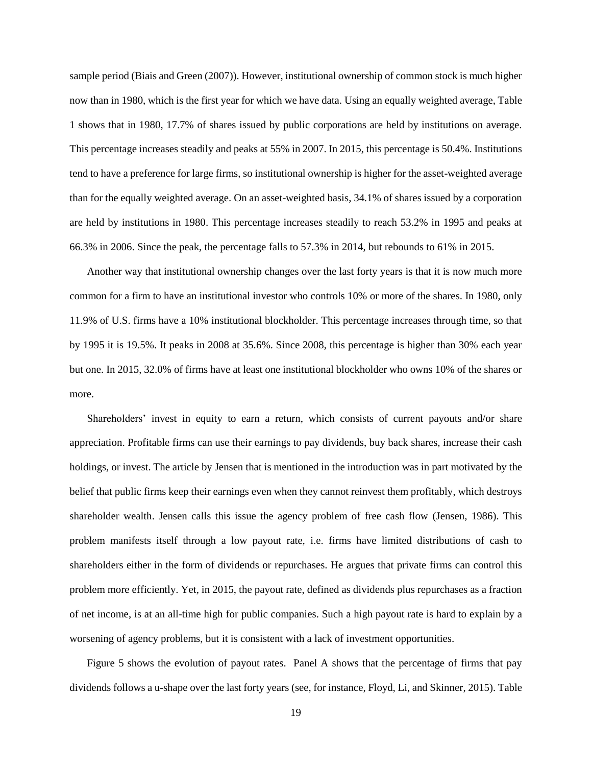sample period (Biais and Green (2007)). However, institutional ownership of common stock is much higher now than in 1980, which is the first year for which we have data. Using an equally weighted average, Table 1 shows that in 1980, 17.7% of shares issued by public corporations are held by institutions on average. This percentage increases steadily and peaks at 55% in 2007. In 2015, this percentage is 50.4%. Institutions tend to have a preference for large firms, so institutional ownership is higher for the asset-weighted average than for the equally weighted average. On an asset-weighted basis, 34.1% of shares issued by a corporation are held by institutions in 1980. This percentage increases steadily to reach 53.2% in 1995 and peaks at 66.3% in 2006. Since the peak, the percentage falls to 57.3% in 2014, but rebounds to 61% in 2015.

Another way that institutional ownership changes over the last forty years is that it is now much more common for a firm to have an institutional investor who controls 10% or more of the shares. In 1980, only 11.9% of U.S. firms have a 10% institutional blockholder. This percentage increases through time, so that by 1995 it is 19.5%. It peaks in 2008 at 35.6%. Since 2008, this percentage is higher than 30% each year but one. In 2015, 32.0% of firms have at least one institutional blockholder who owns 10% of the shares or more.

Shareholders' invest in equity to earn a return, which consists of current payouts and/or share appreciation. Profitable firms can use their earnings to pay dividends, buy back shares, increase their cash holdings, or invest. The article by Jensen that is mentioned in the introduction was in part motivated by the belief that public firms keep their earnings even when they cannot reinvest them profitably, which destroys shareholder wealth. Jensen calls this issue the agency problem of free cash flow (Jensen, 1986). This problem manifests itself through a low payout rate, i.e. firms have limited distributions of cash to shareholders either in the form of dividends or repurchases. He argues that private firms can control this problem more efficiently. Yet, in 2015, the payout rate, defined as dividends plus repurchases as a fraction of net income, is at an all-time high for public companies. Such a high payout rate is hard to explain by a worsening of agency problems, but it is consistent with a lack of investment opportunities.

Figure 5 shows the evolution of payout rates. Panel A shows that the percentage of firms that pay dividends follows a u-shape over the last forty years (see, for instance, Floyd, Li, and Skinner, 2015). Table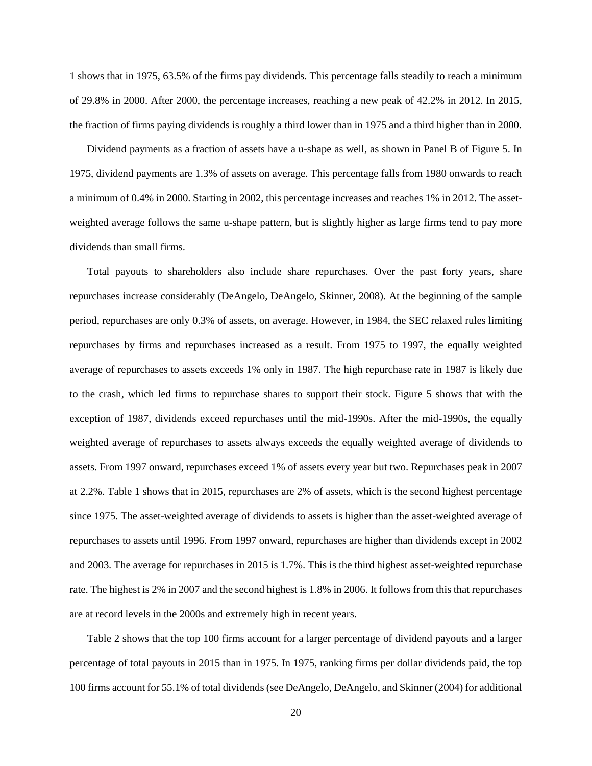1 shows that in 1975, 63.5% of the firms pay dividends. This percentage falls steadily to reach a minimum of 29.8% in 2000. After 2000, the percentage increases, reaching a new peak of 42.2% in 2012. In 2015, the fraction of firms paying dividends is roughly a third lower than in 1975 and a third higher than in 2000.

Dividend payments as a fraction of assets have a u-shape as well, as shown in Panel B of Figure 5. In 1975, dividend payments are 1.3% of assets on average. This percentage falls from 1980 onwards to reach a minimum of 0.4% in 2000. Starting in 2002, this percentage increases and reaches 1% in 2012. The assetweighted average follows the same u-shape pattern, but is slightly higher as large firms tend to pay more dividends than small firms.

Total payouts to shareholders also include share repurchases. Over the past forty years, share repurchases increase considerably (DeAngelo, DeAngelo, Skinner, 2008). At the beginning of the sample period, repurchases are only 0.3% of assets, on average. However, in 1984, the SEC relaxed rules limiting repurchases by firms and repurchases increased as a result. From 1975 to 1997, the equally weighted average of repurchases to assets exceeds 1% only in 1987. The high repurchase rate in 1987 is likely due to the crash, which led firms to repurchase shares to support their stock. Figure 5 shows that with the exception of 1987, dividends exceed repurchases until the mid-1990s. After the mid-1990s, the equally weighted average of repurchases to assets always exceeds the equally weighted average of dividends to assets. From 1997 onward, repurchases exceed 1% of assets every year but two. Repurchases peak in 2007 at 2.2%. Table 1 shows that in 2015, repurchases are 2% of assets, which is the second highest percentage since 1975. The asset-weighted average of dividends to assets is higher than the asset-weighted average of repurchases to assets until 1996. From 1997 onward, repurchases are higher than dividends except in 2002 and 2003. The average for repurchases in 2015 is 1.7%. This is the third highest asset-weighted repurchase rate. The highest is 2% in 2007 and the second highest is 1.8% in 2006. It follows from this that repurchases are at record levels in the 2000s and extremely high in recent years.

Table 2 shows that the top 100 firms account for a larger percentage of dividend payouts and a larger percentage of total payouts in 2015 than in 1975. In 1975, ranking firms per dollar dividends paid, the top 100 firms account for 55.1% of total dividends (see DeAngelo, DeAngelo, and Skinner (2004) for additional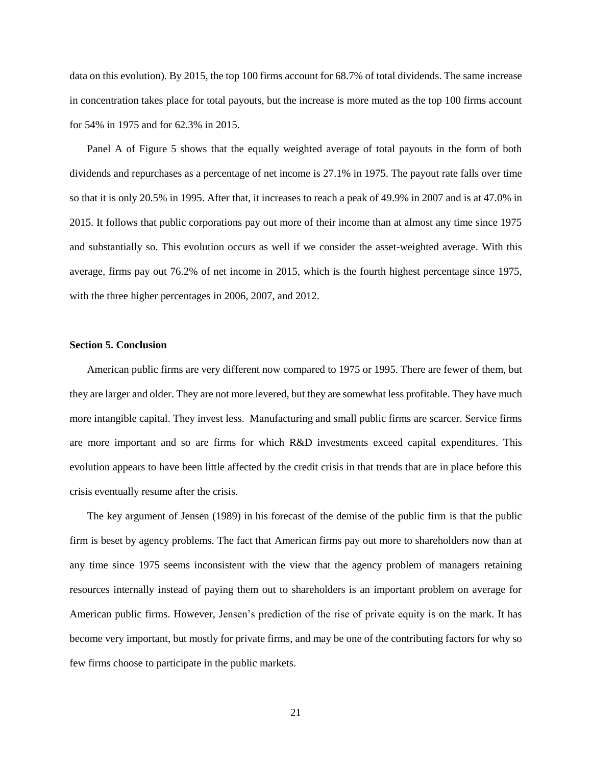data on this evolution). By 2015, the top 100 firms account for 68.7% of total dividends. The same increase in concentration takes place for total payouts, but the increase is more muted as the top 100 firms account for 54% in 1975 and for 62.3% in 2015.

Panel A of Figure 5 shows that the equally weighted average of total payouts in the form of both dividends and repurchases as a percentage of net income is 27.1% in 1975. The payout rate falls over time so that it is only 20.5% in 1995. After that, it increases to reach a peak of 49.9% in 2007 and is at 47.0% in 2015. It follows that public corporations pay out more of their income than at almost any time since 1975 and substantially so. This evolution occurs as well if we consider the asset-weighted average. With this average, firms pay out 76.2% of net income in 2015, which is the fourth highest percentage since 1975, with the three higher percentages in 2006, 2007, and 2012.

## **Section 5. Conclusion**

American public firms are very different now compared to 1975 or 1995. There are fewer of them, but they are larger and older. They are not more levered, but they are somewhat less profitable. They have much more intangible capital. They invest less. Manufacturing and small public firms are scarcer. Service firms are more important and so are firms for which R&D investments exceed capital expenditures. This evolution appears to have been little affected by the credit crisis in that trends that are in place before this crisis eventually resume after the crisis.

The key argument of Jensen (1989) in his forecast of the demise of the public firm is that the public firm is beset by agency problems. The fact that American firms pay out more to shareholders now than at any time since 1975 seems inconsistent with the view that the agency problem of managers retaining resources internally instead of paying them out to shareholders is an important problem on average for American public firms. However, Jensen's prediction of the rise of private equity is on the mark. It has become very important, but mostly for private firms, and may be one of the contributing factors for why so few firms choose to participate in the public markets.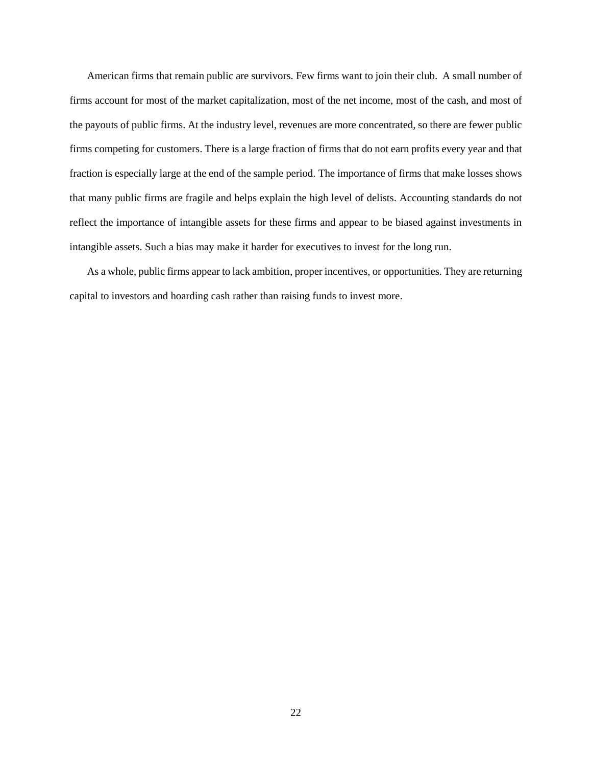American firms that remain public are survivors. Few firms want to join their club. A small number of firms account for most of the market capitalization, most of the net income, most of the cash, and most of the payouts of public firms. At the industry level, revenues are more concentrated, so there are fewer public firms competing for customers. There is a large fraction of firms that do not earn profits every year and that fraction is especially large at the end of the sample period. The importance of firms that make losses shows that many public firms are fragile and helps explain the high level of delists. Accounting standards do not reflect the importance of intangible assets for these firms and appear to be biased against investments in intangible assets. Such a bias may make it harder for executives to invest for the long run.

As a whole, public firms appear to lack ambition, proper incentives, or opportunities. They are returning capital to investors and hoarding cash rather than raising funds to invest more.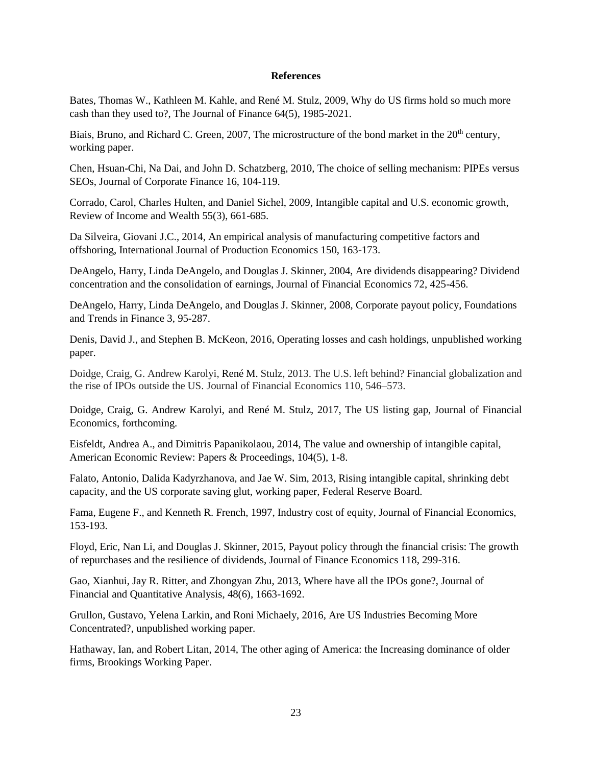### **References**

Bates, Thomas W., Kathleen M. Kahle, and René M. Stulz, 2009, Why do US firms hold so much more cash than they used to?, The Journal of Finance 64(5), 1985-2021.

Biais, Bruno, and Richard C. Green, 2007, The microstructure of the bond market in the 20<sup>th</sup> century, working paper.

Chen, Hsuan-Chi, Na Dai, and John D. Schatzberg, 2010, The choice of selling mechanism: PIPEs versus SEOs, Journal of Corporate Finance 16, 104-119.

Corrado, Carol, Charles Hulten, and Daniel Sichel, 2009, Intangible capital and U.S. economic growth, Review of Income and Wealth 55(3), 661-685.

Da Silveira, Giovani J.C., 2014, An empirical analysis of manufacturing competitive factors and offshoring, International Journal of Production Economics 150, 163-173.

DeAngelo, Harry, Linda DeAngelo, and Douglas J. Skinner, 2004, Are dividends disappearing? Dividend concentration and the consolidation of earnings, Journal of Financial Economics 72, 425-456.

DeAngelo, Harry, Linda DeAngelo, and Douglas J. Skinner, 2008, Corporate payout policy, Foundations and Trends in Finance 3, 95-287.

Denis, David J., and Stephen B. McKeon, 2016, Operating losses and cash holdings, unpublished working paper.

Doidge, Craig, G. Andrew Karolyi, René M. Stulz, 2013. The U.S. left behind? Financial globalization and the rise of IPOs outside the US. Journal of Financial Economics 110, 546–573.

Doidge, Craig, G. Andrew Karolyi, and René M. Stulz, 2017, The US listing gap, Journal of Financial Economics, forthcoming.

Eisfeldt, Andrea A., and Dimitris Papanikolaou, 2014, The value and ownership of intangible capital, American Economic Review: Papers & Proceedings, 104(5), 1-8.

Falato, Antonio, Dalida Kadyrzhanova, and Jae W. Sim, 2013, Rising intangible capital, shrinking debt capacity, and the US corporate saving glut, working paper, Federal Reserve Board.

Fama, Eugene F., and Kenneth R. French, 1997, Industry cost of equity, Journal of Financial Economics, 153-193.

Floyd, Eric, Nan Li, and Douglas J. Skinner, 2015, Payout policy through the financial crisis: The growth of repurchases and the resilience of dividends, Journal of Finance Economics 118, 299-316.

Gao, Xianhui, Jay R. Ritter, and Zhongyan Zhu, 2013, Where have all the IPOs gone?, Journal of Financial and Quantitative Analysis, 48(6), 1663-1692.

Grullon, Gustavo, Yelena Larkin, and Roni Michaely, 2016, Are US Industries Becoming More Concentrated?, unpublished working paper.

Hathaway, Ian, and Robert Litan, 2014, The other aging of America: the Increasing dominance of older firms, Brookings Working Paper.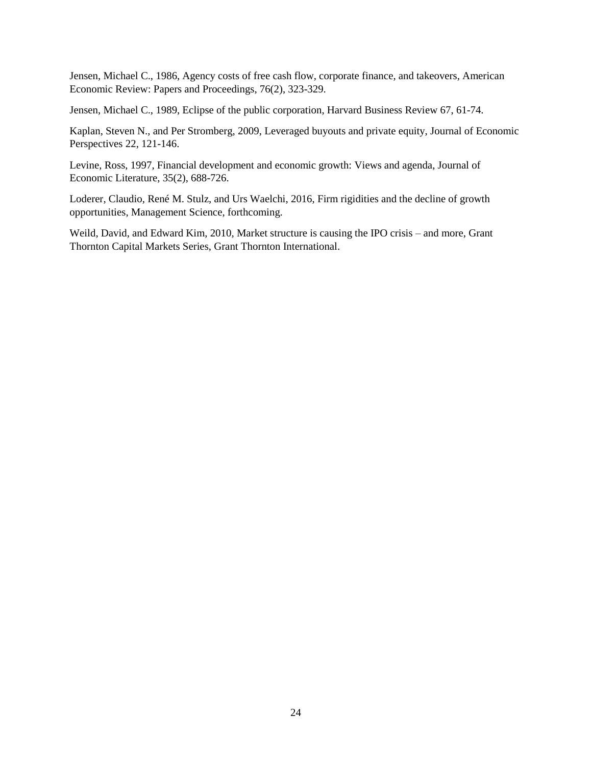Jensen, Michael C., 1986, Agency costs of free cash flow, corporate finance, and takeovers, American Economic Review: Papers and Proceedings, 76(2), 323-329.

Jensen, Michael C., 1989, Eclipse of the public corporation, Harvard Business Review 67, 61-74.

Kaplan, Steven N., and Per Stromberg, 2009, Leveraged buyouts and private equity, Journal of Economic Perspectives 22, 121-146.

Levine, Ross, 1997, Financial development and economic growth: Views and agenda, Journal of Economic Literature, 35(2), 688-726.

Loderer, Claudio, René M. Stulz, and Urs Waelchi, 2016, Firm rigidities and the decline of growth opportunities, Management Science, forthcoming.

Weild, David, and Edward Kim, 2010, Market structure is causing the IPO crisis – and more, Grant Thornton Capital Markets Series, Grant Thornton International.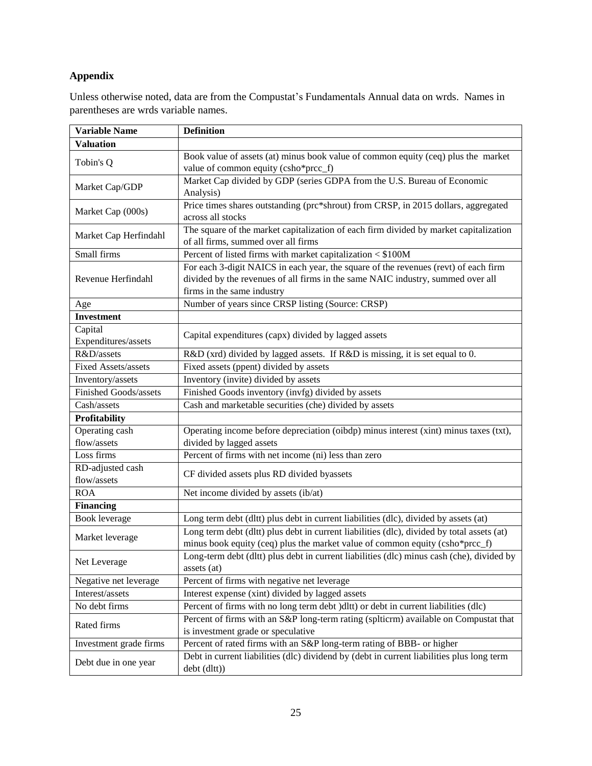# **Appendix**

Unless otherwise noted, data are from the Compustat's Fundamentals Annual data on wrds. Names in parentheses are wrds variable names.

| <b>Variable Name</b>       | <b>Definition</b>                                                                          |  |  |  |  |
|----------------------------|--------------------------------------------------------------------------------------------|--|--|--|--|
| <b>Valuation</b>           |                                                                                            |  |  |  |  |
| Tobin's Q                  | Book value of assets (at) minus book value of common equity (ceq) plus the market          |  |  |  |  |
|                            | value of common equity (csho*prcc_f)                                                       |  |  |  |  |
| Market Cap/GDP             | Market Cap divided by GDP (series GDPA from the U.S. Bureau of Economic                    |  |  |  |  |
|                            | Analysis)                                                                                  |  |  |  |  |
| Market Cap (000s)          | Price times shares outstanding (prc*shrout) from CRSP, in 2015 dollars, aggregated         |  |  |  |  |
|                            | across all stocks                                                                          |  |  |  |  |
| Market Cap Herfindahl      | The square of the market capitalization of each firm divided by market capitalization      |  |  |  |  |
|                            | of all firms, summed over all firms                                                        |  |  |  |  |
| Small firms                | Percent of listed firms with market capitalization < \$100M                                |  |  |  |  |
|                            | For each 3-digit NAICS in each year, the square of the revenues (revt) of each firm        |  |  |  |  |
| Revenue Herfindahl         | divided by the revenues of all firms in the same NAIC industry, summed over all            |  |  |  |  |
|                            | firms in the same industry                                                                 |  |  |  |  |
| Age                        | Number of years since CRSP listing (Source: CRSP)                                          |  |  |  |  |
| <b>Investment</b>          |                                                                                            |  |  |  |  |
| Capital                    | Capital expenditures (capx) divided by lagged assets                                       |  |  |  |  |
| Expenditures/assets        |                                                                                            |  |  |  |  |
| R&D/assets                 | R&D (xrd) divided by lagged assets. If R&D is missing, it is set equal to 0.               |  |  |  |  |
| <b>Fixed Assets/assets</b> | Fixed assets (ppent) divided by assets                                                     |  |  |  |  |
| Inventory/assets           | Inventory (invite) divided by assets                                                       |  |  |  |  |
| Finished Goods/assets      | Finished Goods inventory (invfg) divided by assets                                         |  |  |  |  |
| Cash/assets                | Cash and marketable securities (che) divided by assets                                     |  |  |  |  |
| Profitability              |                                                                                            |  |  |  |  |
| Operating cash             | Operating income before depreciation (oibdp) minus interest (xint) minus taxes (txt),      |  |  |  |  |
| flow/assets                | divided by lagged assets                                                                   |  |  |  |  |
| Loss firms                 | Percent of firms with net income (ni) less than zero                                       |  |  |  |  |
| RD-adjusted cash           | CF divided assets plus RD divided byassets                                                 |  |  |  |  |
| flow/assets                |                                                                                            |  |  |  |  |
| <b>ROA</b>                 | Net income divided by assets (ib/at)                                                       |  |  |  |  |
| <b>Financing</b>           |                                                                                            |  |  |  |  |
| Book leverage              | Long term debt (dltt) plus debt in current liabilities (dlc), divided by assets (at)       |  |  |  |  |
|                            | Long term debt (dltt) plus debt in current liabilities (dlc), divided by total assets (at) |  |  |  |  |
| Market leverage            | minus book equity (ceq) plus the market value of common equity (csho*prcc_f)               |  |  |  |  |
|                            | Long-term debt (dltt) plus debt in current liabilities (dlc) minus cash (che), divided by  |  |  |  |  |
| Net Leverage               | assets (at)                                                                                |  |  |  |  |
| Negative net leverage      | Percent of firms with negative net leverage                                                |  |  |  |  |
| Interest/assets            | Interest expense (xint) divided by lagged assets                                           |  |  |  |  |
| No debt firms              | Percent of firms with no long term debt )dltt) or debt in current liabilities (dlc)        |  |  |  |  |
| Rated firms                | Percent of firms with an S&P long-term rating (splticrm) available on Compustat that       |  |  |  |  |
|                            | is investment grade or speculative                                                         |  |  |  |  |
| Investment grade firms     | Percent of rated firms with an S&P long-term rating of BBB- or higher                      |  |  |  |  |
|                            | Debt in current liabilities (dlc) dividend by (debt in current liabilities plus long term  |  |  |  |  |
| Debt due in one year       | debt (dltt))                                                                               |  |  |  |  |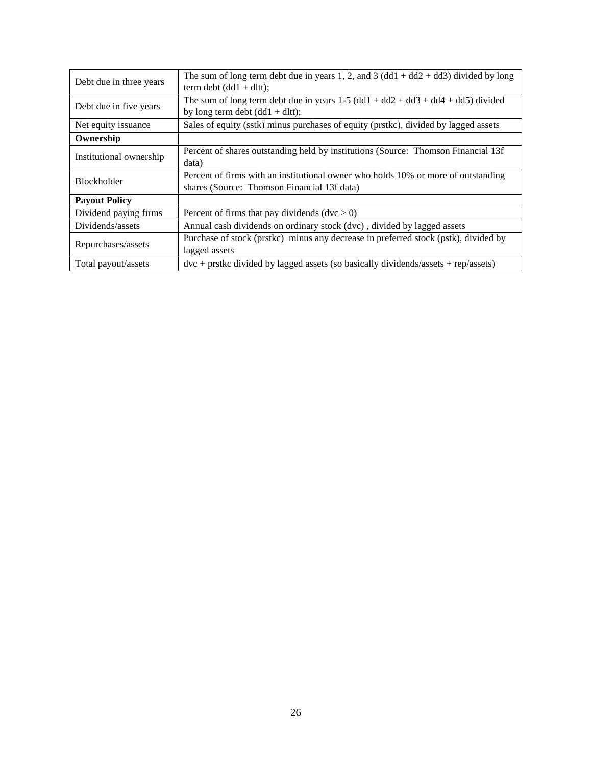| Debt due in three years | The sum of long term debt due in years 1, 2, and 3 (dd1 + dd2 + dd3) divided by long<br>term debt $(dd1 + dltt)$ ;               |  |  |  |  |
|-------------------------|----------------------------------------------------------------------------------------------------------------------------------|--|--|--|--|
| Debt due in five years  | The sum of long term debt due in years $1-5$ (dd1 + dd2 + dd3 + dd4 + dd5) divided<br>by long term debt $(dd1 + dltt)$ ;         |  |  |  |  |
| Net equity issuance     | Sales of equity (sstk) minus purchases of equity (prstkc), divided by lagged assets                                              |  |  |  |  |
| Ownership               |                                                                                                                                  |  |  |  |  |
| Institutional ownership | Percent of shares outstanding held by institutions (Source: Thomson Financial 13f<br>data)                                       |  |  |  |  |
| <b>Blockholder</b>      | Percent of firms with an institutional owner who holds 10% or more of outstanding<br>shares (Source: Thomson Financial 13f data) |  |  |  |  |
| <b>Payout Policy</b>    |                                                                                                                                  |  |  |  |  |
| Dividend paying firms   | Percent of firms that pay dividends $(dvc > 0)$                                                                                  |  |  |  |  |
| Dividends/assets        | Annual cash dividends on ordinary stock (dvc), divided by lagged assets                                                          |  |  |  |  |
| Repurchases/assets      | Purchase of stock (prstkc) minus any decrease in preferred stock (pstk), divided by<br>lagged assets                             |  |  |  |  |
| Total payout/assets     | $\frac{dv}{dx}$ + prstkc divided by lagged assets (so basically dividends/assets + rep/assets)                                   |  |  |  |  |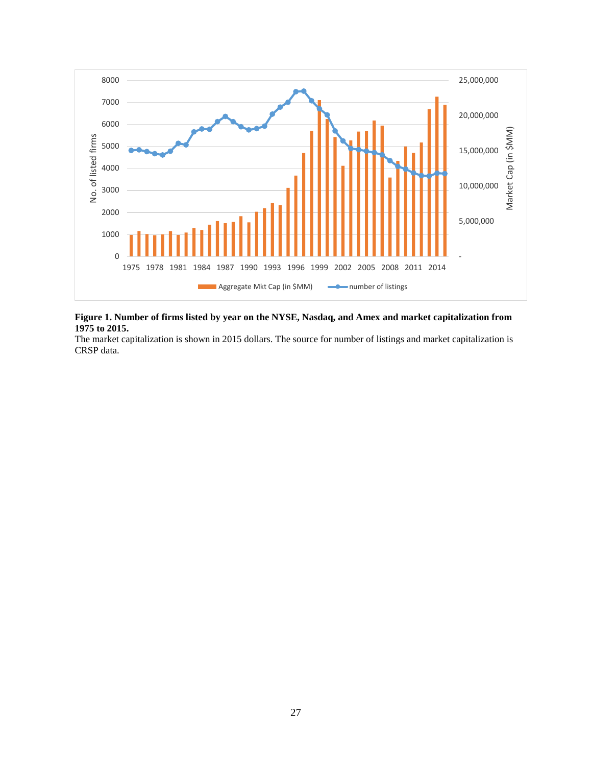

### **Figure 1. Number of firms listed by year on the NYSE, Nasdaq, and Amex and market capitalization from 1975 to 2015.**

The market capitalization is shown in 2015 dollars. The source for number of listings and market capitalization is CRSP data.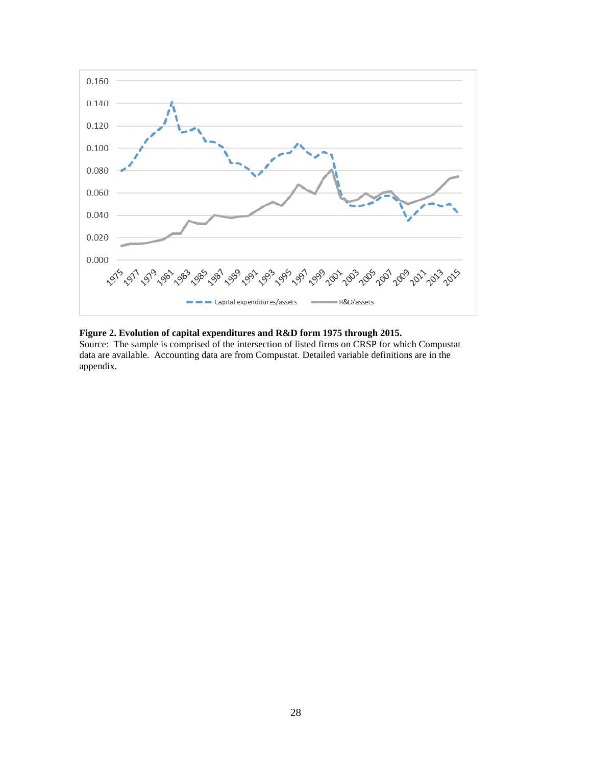

## **Figure 2. Evolution of capital expenditures and R&D form 1975 through 2015.**

Source: The sample is comprised of the intersection of listed firms on CRSP for which Compustat data are available. Accounting data are from Compustat. Detailed variable definitions are in the appendix.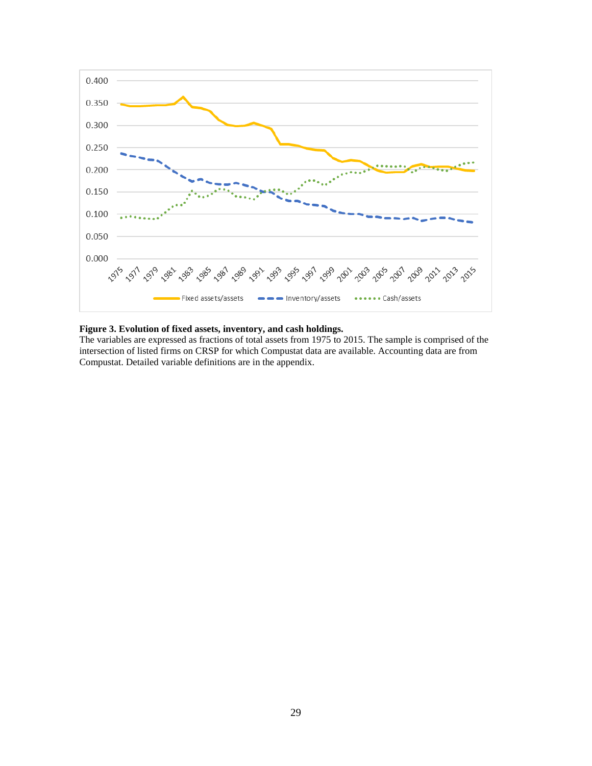

### **Figure 3. Evolution of fixed assets, inventory, and cash holdings.**

The variables are expressed as fractions of total assets from 1975 to 2015. The sample is comprised of the intersection of listed firms on CRSP for which Compustat data are available. Accounting data are from Compustat. Detailed variable definitions are in the appendix.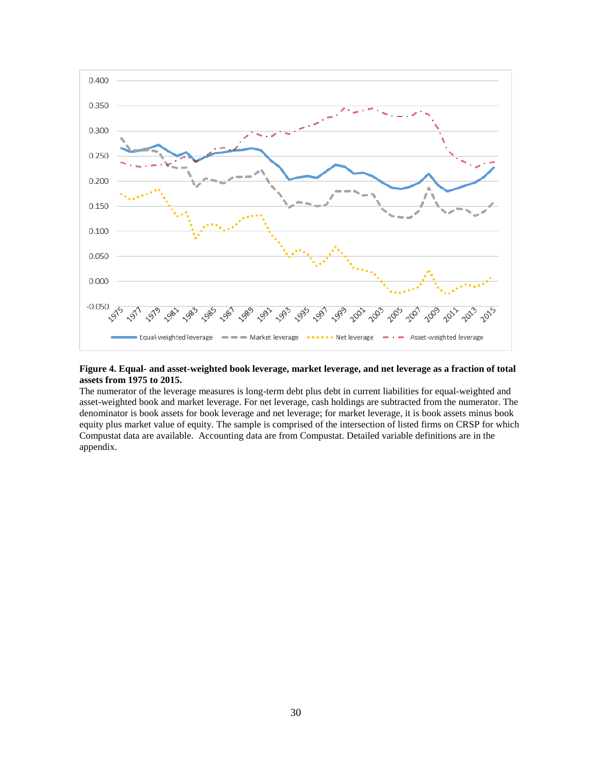

### **Figure 4. Equal- and asset-weighted book leverage, market leverage, and net leverage as a fraction of total assets from 1975 to 2015.**

The numerator of the leverage measures is long-term debt plus debt in current liabilities for equal-weighted and asset-weighted book and market leverage. For net leverage, cash holdings are subtracted from the numerator. The denominator is book assets for book leverage and net leverage; for market leverage, it is book assets minus book equity plus market value of equity. The sample is comprised of the intersection of listed firms on CRSP for which Compustat data are available. Accounting data are from Compustat. Detailed variable definitions are in the appendix.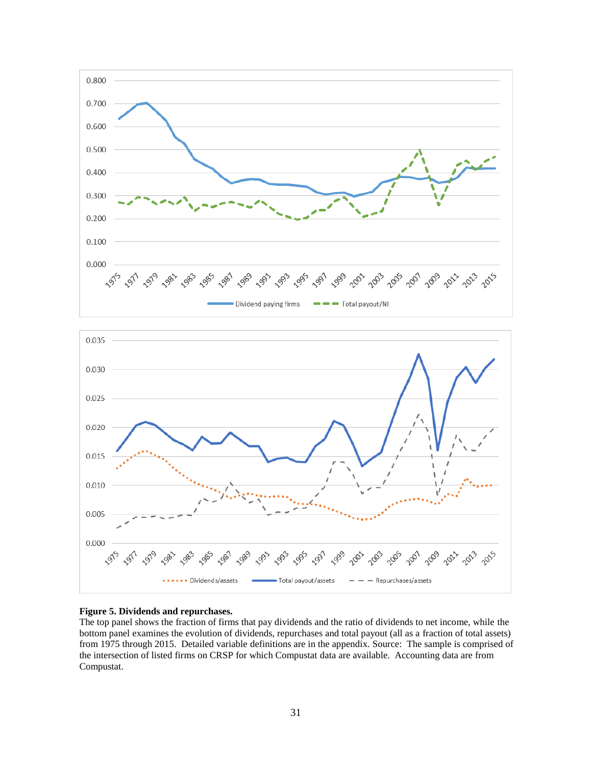



### **Figure 5. Dividends and repurchases.**

The top panel shows the fraction of firms that pay dividends and the ratio of dividends to net income, while the bottom panel examines the evolution of dividends, repurchases and total payout (all as a fraction of total assets) from 1975 through 2015. Detailed variable definitions are in the appendix. Source: The sample is comprised of the intersection of listed firms on CRSP for which Compustat data are available. Accounting data are from Compustat.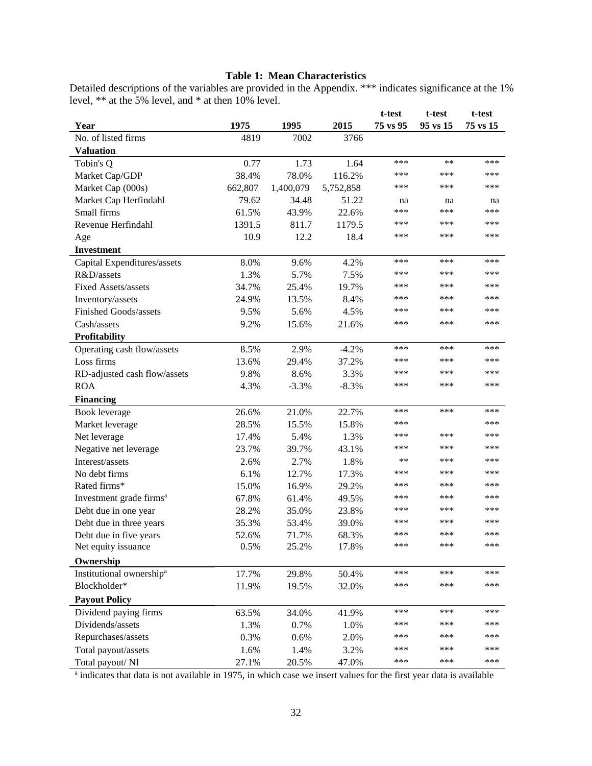### **Table 1: Mean Characteristics**

Detailed descriptions of the variables are provided in the Appendix. \*\*\* indicates significance at the 1% level, \*\* at the 5% level, and \* at then 10% level.

|                                      |         |           |           | t-test   | t-test   | t-test   |
|--------------------------------------|---------|-----------|-----------|----------|----------|----------|
| Year                                 | 1975    | 1995      | 2015      | 75 vs 95 | 95 vs 15 | 75 vs 15 |
| No. of listed firms                  | 4819    | 7002      | 3766      |          |          |          |
| <b>Valuation</b>                     |         |           |           |          |          |          |
| Tobin's Q                            | 0.77    | 1.73      | 1.64      | ***      | $**$     | ***      |
| Market Cap/GDP                       | 38.4%   | 78.0%     | 116.2%    | ***      | ***      | ***      |
| Market Cap (000s)                    | 662,807 | 1,400,079 | 5,752,858 | ***      | ***      | ***      |
| Market Cap Herfindahl                | 79.62   | 34.48     | 51.22     | na       | na       | na       |
| Small firms                          | 61.5%   | 43.9%     | 22.6%     | ***      | ***      | ***      |
| Revenue Herfindahl                   | 1391.5  | 811.7     | 1179.5    | ***      | ***      | ***      |
| Age                                  | 10.9    | 12.2      | 18.4      | ***      | ***      | ***      |
| <b>Investment</b>                    |         |           |           |          |          |          |
| Capital Expenditures/assets          | 8.0%    | 9.6%      | 4.2%      | ***      | ***      | ***      |
| R&D/assets                           | 1.3%    | 5.7%      | 7.5%      | ***      | ***      | ***      |
| Fixed Assets/assets                  | 34.7%   | 25.4%     | 19.7%     | ***      | ***      | ***      |
| Inventory/assets                     | 24.9%   | 13.5%     | 8.4%      | ***      | ***      | ***      |
| Finished Goods/assets                | 9.5%    | 5.6%      | 4.5%      | ***      | ***      | ***      |
| Cash/assets                          | 9.2%    | 15.6%     | 21.6%     | ***      | ***      | ***      |
| Profitability                        |         |           |           |          |          |          |
| Operating cash flow/assets           | 8.5%    | 2.9%      | $-4.2%$   | ***      | ***      | ***      |
| Loss firms                           | 13.6%   | 29.4%     | 37.2%     | ***      | ***      | ***      |
| RD-adjusted cash flow/assets         | 9.8%    | 8.6%      | 3.3%      | ***      | ***      | ***      |
| <b>ROA</b>                           | 4.3%    | $-3.3%$   | $-8.3%$   | ***      | ***      | ***      |
| <b>Financing</b>                     |         |           |           |          |          |          |
| Book leverage                        | 26.6%   | 21.0%     | 22.7%     | ***      | ***      | ***      |
| Market leverage                      | 28.5%   | 15.5%     | 15.8%     | ***      |          | ***      |
| Net leverage                         | 17.4%   | 5.4%      | 1.3%      | ***      | ***      | ***      |
| Negative net leverage                | 23.7%   | 39.7%     | 43.1%     | ***      | ***      | ***      |
| Interest/assets                      | 2.6%    | 2.7%      | 1.8%      | $**$     | ***      | ***      |
| No debt firms                        | 6.1%    | 12.7%     | 17.3%     | ***      | ***      | ***      |
| Rated firms*                         | 15.0%   | 16.9%     | 29.2%     | ***      | ***      | ***      |
| Investment grade firms <sup>a</sup>  | 67.8%   | 61.4%     | 49.5%     | ***      | ***      | ***      |
| Debt due in one year                 | 28.2%   | 35.0%     | 23.8%     | ***      | ***      | ***      |
| Debt due in three years              | 35.3%   | 53.4%     | 39.0%     | ***      | ***      | ***      |
| Debt due in five years               | 52.6%   | 71.7%     | 68.3%     | ***      | ***      | ***      |
| Net equity issuance                  | 0.5%    | 25.2%     | 17.8%     | ***      | ***      | ***      |
| Ownership                            |         |           |           |          |          |          |
| Institutional ownership <sup>a</sup> | 17.7%   | 29.8%     | 50.4%     | ***      | ***      | ***      |
| Blockholder*                         | 11.9%   | 19.5%     | 32.0%     | ***      | ***      | ***      |
| <b>Payout Policy</b>                 |         |           |           |          |          |          |
| Dividend paying firms                | 63.5%   | 34.0%     | 41.9%     | ***      | ***      | ***      |
| Dividends/assets                     | 1.3%    | 0.7%      | 1.0%      | ***      | ***      | ***      |
| Repurchases/assets                   | 0.3%    | 0.6%      | 2.0%      | ***      | ***      | ***      |
| Total payout/assets                  | 1.6%    | 1.4%      | 3.2%      | ***      | ***      | ***      |
| Total payout/NI                      | 27.1%   | 20.5%     | 47.0%     | ***      | ***      | ***      |

<sup>a</sup> indicates that data is not available in 1975, in which case we insert values for the first year data is available